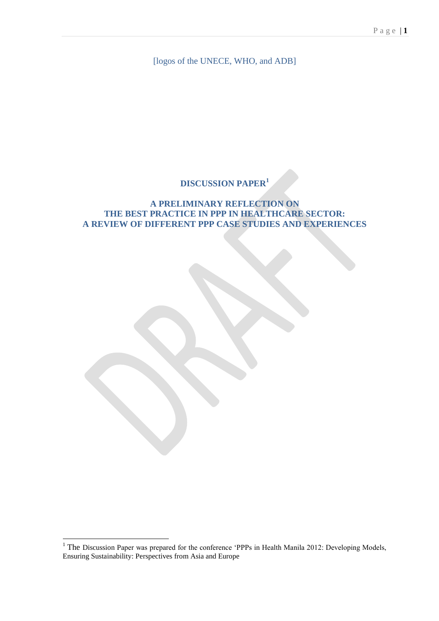[logos of the UNECE, WHO, and ADB]

# **DISCUSSION PAPER<sup>1</sup>**

## **A PRELIMINARY REFLECTION ON THE BEST PRACTICE IN PPP IN HEALTHCARE SECTOR: A REVIEW OF DIFFERENT PPP CASE STUDIES AND EXPERIENCES**

1

 $1$  The Discussion Paper was prepared for the conference 'PPPs in Health Manila 2012: Developing Models, Ensuring Sustainability: Perspectives from Asia and Europe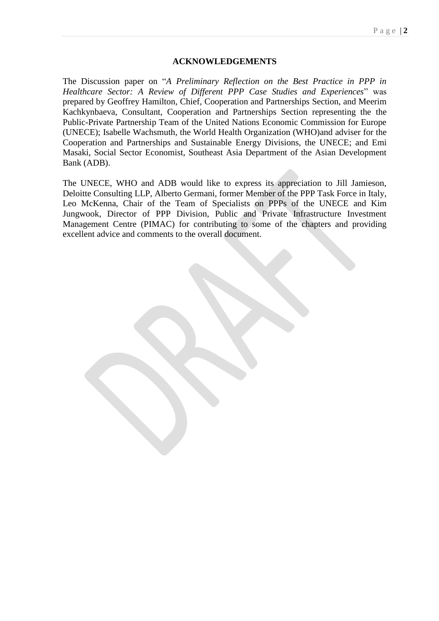#### **ACKNOWLEDGEMENTS**

The Discussion paper on "*A Preliminary Reflection on the Best Practice in PPP in Healthcare Sector: A Review of Different PPP Case Studies and Experiences*" was prepared by Geoffrey Hamilton, Chief, Cooperation and Partnerships Section, and Meerim Kachkynbaeva, Consultant, Cooperation and Partnerships Section representing the the Public-Private Partnership Team of the United Nations Economic Commission for Europe (UNECE); Isabelle Wachsmuth, the World Health Organization (WHO)and adviser for the Cooperation and Partnerships and Sustainable Energy Divisions, the UNECE; and Emi Masaki, Social Sector Economist, Southeast Asia Department of the Asian Development Bank (ADB).

The UNECE, WHO and ADB would like to express its appreciation to Jill Jamieson, Deloitte Consulting LLP, Alberto Germani, former Member of the PPP Task Force in Italy, Leo McKenna, Chair of the Team of Specialists on PPPs of the UNECE and Kim Jungwook, Director of PPP Division, Public and Private Infrastructure Investment Management Centre (PIMAC) for contributing to some of the chapters and providing excellent advice and comments to the overall document.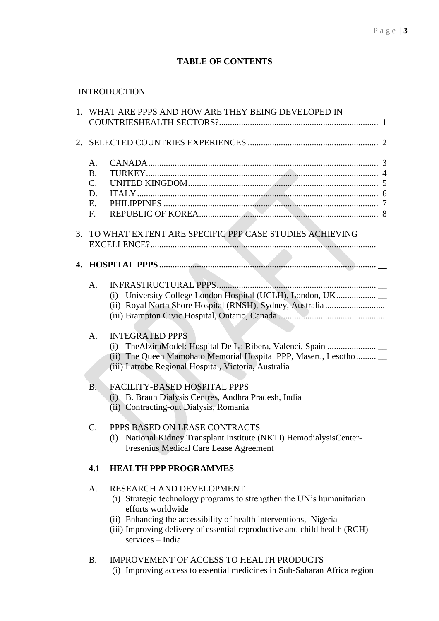# **TABLE OF CONTENTS**

# INTRODUCTION

|                                         | 1. WHAT ARE PPPS AND HOW ARE THEY BEING DEVELOPED IN                                                                                                                                                                                                                                         |  |
|-----------------------------------------|----------------------------------------------------------------------------------------------------------------------------------------------------------------------------------------------------------------------------------------------------------------------------------------------|--|
|                                         |                                                                                                                                                                                                                                                                                              |  |
| A.<br><b>B.</b><br>C.<br>D.<br>E.<br>F. |                                                                                                                                                                                                                                                                                              |  |
|                                         | 3. TO WHAT EXTENT ARE SPECIFIC PPP CASE STUDIES ACHIEVING                                                                                                                                                                                                                                    |  |
|                                         |                                                                                                                                                                                                                                                                                              |  |
| A.                                      | (i) University College London Hospital (UCLH), London, UK                                                                                                                                                                                                                                    |  |
| A.                                      | <b>INTEGRATED PPPS</b><br>(i) TheAlziraModel: Hospital De La Ribera, Valenci, Spain<br>(ii) The Queen Mamohato Memorial Hospital PPP, Maseru, Lesotho<br>(iii) Latrobe Regional Hospital, Victoria, Australia                                                                                |  |
| <b>B.</b>                               | <b>FACILITY-BASED HOSPITAL PPPS</b><br>(i) B. Braun Dialysis Centres, Andhra Pradesh, India<br>(ii) Contracting-out Dialysis, Romania                                                                                                                                                        |  |
| $\mathcal{C}$ .                         | PPPS BASED ON LEASE CONTRACTS<br>(i) National Kidney Transplant Institute (NKTI) HemodialysisCenter-<br>Fresenius Medical Care Lease Agreement                                                                                                                                               |  |
| 4.1                                     | <b>HEALTH PPP PROGRAMMES</b>                                                                                                                                                                                                                                                                 |  |
| A.                                      | RESEARCH AND DEVELOPMENT<br>(i) Strategic technology programs to strengthen the UN's humanitarian<br>efforts worldwide<br>(ii) Enhancing the accessibility of health interventions, Nigeria<br>(iii) Improving delivery of essential reproductive and child health (RCH)<br>services - India |  |
| B.                                      | <b>IMPROVEMENT OF ACCESS TO HEALTH PRODUCTS</b><br>(i) Improving access to essential medicines in Sub-Saharan Africa region                                                                                                                                                                  |  |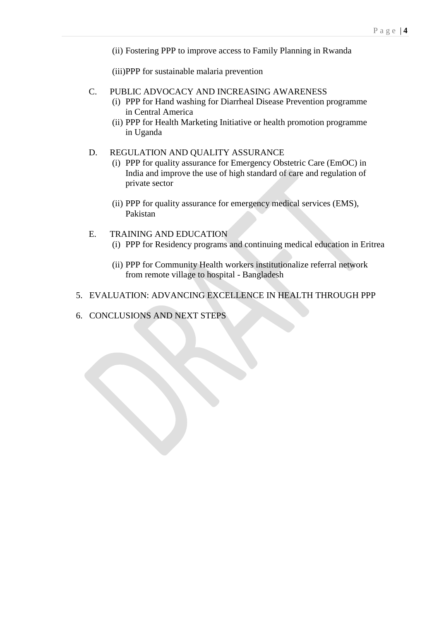(ii) [Fostering PPP to improve access to Family Planning in Rwanda](#page-30-0)

(iii[\)PPP for sustainable malaria prevention](#page-31-0)

- C. PUBLIC ADVOCACY AND INCREASING AWARENESS
	- (i) [PPP for Hand washing for Diarrheal Disease Prevention programme](#page-33-0)  [in Central America](#page-33-0)
	- (ii) [PPP for Health Marketing Initiative or health promotion programme](#page-34-0)  [in Uganda](#page-34-0)

#### D. REGULATION AND QUALITY ASSURANCE

- (i) [PPP for quality assurance for Emergency Obstetric Care \(EmOC\) in](#page-35-0)  [India and improve the use of high standard of care and regulation of](#page-35-0)  [private sector](#page-35-0)
- (ii) [PPP for quality assurance for emergency medical services \(EMS\),](#page-36-0)  [Pakistan](#page-36-0)
- E. TRAINING AND EDUCATION (i) [PPP for Residency programs and continuing medical education in Eritrea](#page-39-0)
	- (ii) PPP for Community Health workers institutionalize referral network from remote village to hospital - Bangladesh
- 5. EVALUATION: ADVANCING EXCELLENCE IN HEALTH THROUGH PPP
- 6. CONCLUSIONS AND NEXT STEPS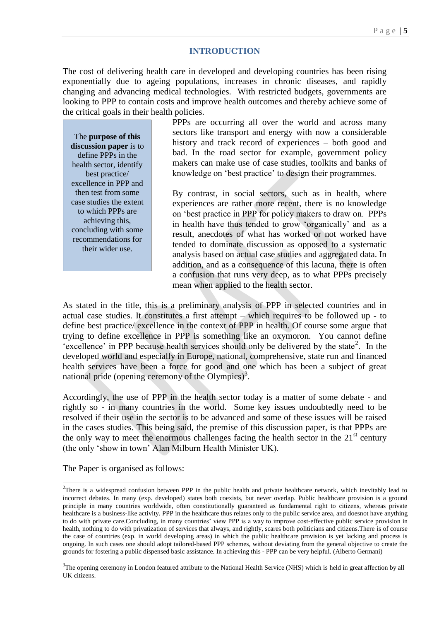#### **INTRODUCTION**

The cost of delivering health care in developed and developing countries has been rising exponentially due to ageing populations, increases in chronic diseases, and rapidly changing and advancing medical technologies. With restricted budgets, governments are looking to PPP to contain costs and improve health outcomes and thereby achieve some of the critical goals in their health policies.

The **purpose of this discussion paper** is to define PPPs in the health sector, identify best practice/ excellence in PPP and then test from some case studies the extent to which PPPs are achieving this, concluding with some recommendations for their wider use.

PPPs are occurring all over the world and across many sectors like transport and energy with now a considerable history and track record of experiences – both good and bad. In the road sector for example, government policy makers can make use of case studies, toolkits and banks of knowledge on 'best practice' to design their programmes.

By contrast, in social sectors, such as in health, where experiences are rather more recent, there is no knowledge on 'best practice in PPP for policy makers to draw on. PPPs in health have thus tended to grow 'organically' and as a result, anecdotes of what has worked or not worked have tended to dominate discussion as opposed to a systematic analysis based on actual case studies and aggregated data. In addition, and as a consequence of this lacuna, there is often a confusion that runs very deep, as to what PPPs precisely mean when applied to the health sector.

As stated in the title, this is a preliminary analysis of PPP in selected countries and in actual case studies. It constitutes a first attempt – which requires to be followed up - to define best practice/ excellence in the context of PPP in health. Of course some argue that trying to define excellence in PPP is something like an oxymoron. You cannot define 'excellence' in PPP because health services should only be delivered by the state<sup>2</sup>. In the developed world and especially in Europe, national, comprehensive, state run and financed health services have been a force for good and one which has been a subject of great national pride (opening ceremony of the Olympics)<sup>3</sup>.

Accordingly, the use of PPP in the health sector today is a matter of some debate - and rightly so - in many countries in the world. Some key issues undoubtedly need to be resolved if their use in the sector is to be advanced and some of these issues will be raised in the cases studies. This being said, the premise of this discussion paper, is that PPPs are the only way to meet the enormous challenges facing the health sector in the  $21<sup>st</sup>$  century (the only 'show in town' Alan Milburn Health Minister UK).

The Paper is organised as follows:

-

 $2$ There is a widespread confusion between PPP in the public health and private healthcare network, which inevitably lead to incorrect debates. In many (exp. developed) states both coexists, but never overlap. Public healthcare provision is a ground principle in many countries worldwide, often constitutionally guaranteed as fundamental right to citizens, whereas private healthcare is a business-like activity. PPP in the healthcare thus relates only to the public service area, and doesnot have anything to do with private care.Concluding, in many countries' view PPP is a way to improve cost-effective public service provision in health, nothing to do with privatization of services that always, and rightly, scares both politicians and citizens.There is of course the case of countries (exp. in world developing areas) in which the public healthcare provision is yet lacking and process is ongoing. In such cases one should adopt tailored-based PPP schemes, without deviating from the general objective to create the grounds for fostering a public dispensed basic assistance. In achieving this - PPP can be very helpful. (Alberto Germani)

<sup>&</sup>lt;sup>3</sup>The opening ceremony in London featured attribute to the National Health Service (NHS) which is held in great affection by all UK citizens.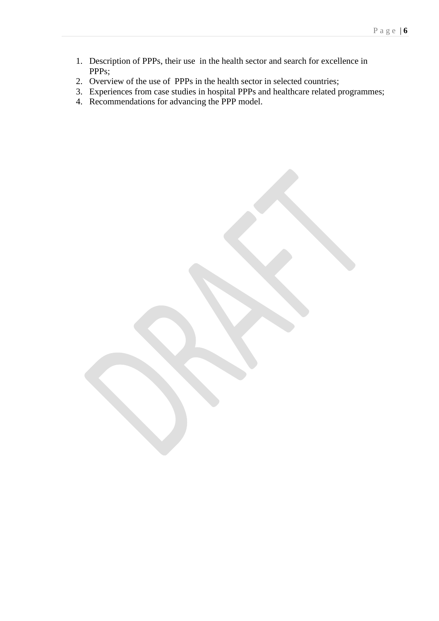- 1. Description of PPPs, their use in the health sector and search for excellence in PPPs;
- 2. Overview of the use of PPPs in the health sector in selected countries;
- 3. Experiences from case studies in hospital PPPs and healthcare related programmes;
- 4. Recommendations for advancing the PPP model.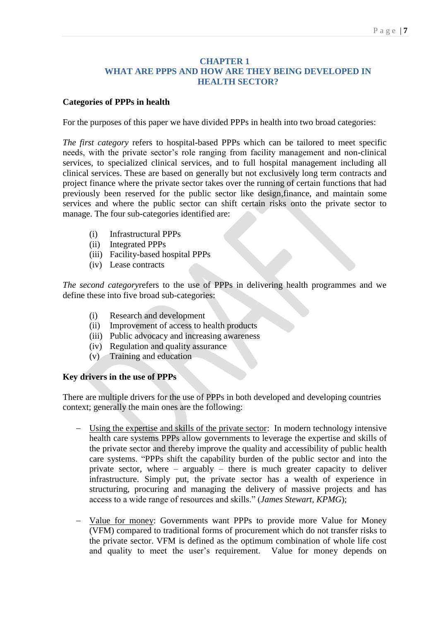### **CHAPTER 1 WHAT ARE PPPS AND HOW ARE THEY BEING DEVELOPED IN HEALTH SECTOR?**

## **Categories of PPPs in health**

For the purposes of this paper we have divided PPPs in health into two broad categories:

*The first category* refers to hospital-based PPPs which can be tailored to meet specific needs, with the private sector's role ranging from facility management and non-clinical services, to specialized clinical services, and to full hospital management including all clinical services. These are based on generally but not exclusively long term contracts and project finance where the private sector takes over the running of certain functions that had previously been reserved for the public sector like design,finance, and maintain some services and where the public sector can shift certain risks onto the private sector to manage. The four sub-categories identified are:

- (i) Infrastructural PPPs
- (ii) Integrated PPPs
- (iii) Facility-based hospital PPPs
- (iv) Lease contracts

*The second category*refers to the use of PPPs in delivering health programmes and we define these into five broad sub-categories:

- (i) Research and development
- (ii) Improvement of access to health products
- (iii) Public advocacy and increasing awareness
- (iv) Regulation and quality assurance
- (v) Training and education

## **Key drivers in the use of PPPs**

There are multiple drivers for the use of PPPs in both developed and developing countries context; generally the main ones are the following:

- Using the expertise and skills of the private sector: In modern technology intensive health care systems PPPs allow governments to leverage the expertise and skills of the private sector and thereby improve the quality and accessibility of public health care systems. "PPPs shift the capability burden of the public sector and into the private sector, where – arguably – there is much greater capacity to deliver infrastructure. Simply put, the private sector has a wealth of experience in structuring, procuring and managing the delivery of massive projects and has access to a wide range of resources and skills." (*James Stewart, KPMG*);
- Value for money: Governments want PPPs to provide more Value for Money (VFM) compared to traditional forms of procurement which do not transfer risks to the private sector. VFM is defined as the optimum combination of whole life cost and quality to meet the user's requirement. Value for money depends on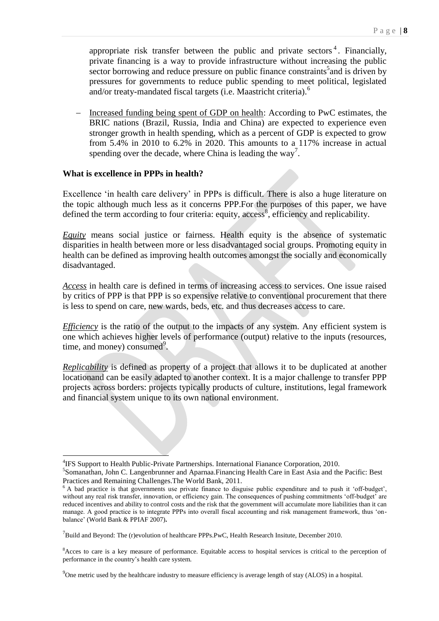appropriate risk transfer between the public and private sectors<sup>4</sup>. Financially, private financing is a way to provide infrastructure without increasing the public  $\frac{1}{\sqrt{2}}$  sector borrowing and reduce pressure on public finance constraints<sup>5</sup> and is driven by pressures for governments to reduce public spending to meet political, legislated and/or treaty-mandated fiscal targets (i.e. Maastricht criteria).<sup>6</sup>

 Increased funding being spent of GDP on health: According to PwC estimates, the BRIC nations (Brazil, Russia, India and China) are expected to experience even stronger growth in health spending, which as a percent of GDP is expected to grow from 5.4% in 2010 to 6.2% in 2020. This amounts to a 117% increase in actual spending over the decade, where China is leading the way<sup>7</sup>.

#### **What is excellence in PPPs in health?**

-

Excellence 'in health care delivery' in PPPs is difficult. There is also a huge literature on the topic although much less as it concerns PPP.For the purposes of this paper, we have defined the term according to four criteria: equity, access<sup>8</sup>, efficiency and replicability.

*Equity* means social justice or fairness. Health equity is the absence of systematic disparities in health between more or less disadvantaged social groups. Promoting equity in health can be defined as improving health outcomes amongst the socially and economically disadvantaged.

*Access* in health care is defined in terms of increasing access to services. One issue raised by critics of PPP is that PPP is so expensive relative to conventional procurement that there is less to spend on care, new wards, beds, etc. and thus decreases access to care.

*Efficiency* is the ratio of the output to the impacts of any system. Any efficient system is one which achieves higher levels of performance (output) relative to the inputs (resources, time, and money) consumed<sup>9</sup>.

*Replicability* is defined as property of a project that allows it to be duplicated at another locationand can be easily adapted to another context. It is a major challenge to transfer PPP projects across borders: projects typically products of culture, institutions, legal framework and financial system unique to its own national environment.

<sup>&</sup>lt;sup>4</sup>IFS Support to Health Public-Private Partnerships. International Fianance Corporation, 2010.

<sup>5</sup> Somanathan, John C. Langenbrunner and Aparnaa.Financing Health Care in East Asia and the Pacific: Best Practices and Remaining Challenges.The World Bank, 2011.

<sup>6</sup> A bad practice is that governments use private finance to disguise public expenditure and to push it 'off-budget', without any real risk transfer, innovation, or efficiency gain. The consequences of pushing commitments 'off-budget' are reduced incentives and ability to control costs and the risk that the government will accumulate more liabilities than it can manage. A good practice is to integrate PPPs into overall fiscal accounting and risk management framework, thus 'onbalance' (World Bank & PPIAF 2007)**.**

<sup>&</sup>lt;sup>7</sup>Build and Beyond: The (r)evolution of healthcare PPPs.PwC, Health Research Insitute, December 2010.

<sup>&</sup>lt;sup>8</sup>Acces to care is a key measure of performance. Equitable access to hospital services is critical to the perception of performance in the country's health care system.

<sup>&</sup>lt;sup>9</sup>One metric used by the healthcare industry to measure efficiency is average length of stay (ALOS) in a hospital.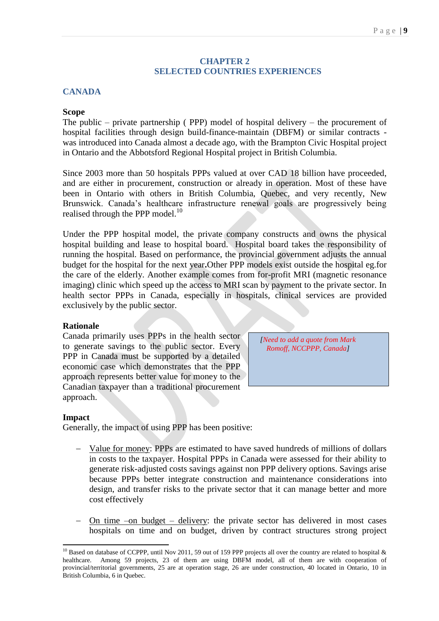#### **CHAPTER 2 SELECTED COUNTRIES EXPERIENCES**

## **CANADA**

#### **Scope**

The public – private partnership ( PPP) model of hospital delivery – the procurement of hospital facilities through design build-finance-maintain (DBFM) or similar contracts was introduced into Canada almost a decade ago, with the Brampton Civic Hospital project in Ontario and the Abbotsford Regional Hospital project in British Columbia.

Since 2003 more than 50 hospitals PPPs valued at over CAD 18 billion have proceeded, and are either in procurement, construction or already in operation. Most of these have been in Ontario with others in British Columbia, Quebec, and very recently, New Brunswick. Canada's healthcare infrastructure renewal goals are progressively being realised through the PPP model. $^{10}$ 

Under the PPP hospital model, the private company constructs and owns the physical hospital building and lease to hospital board. Hospital board takes the responsibility of running the hospital. Based on performance, the provincial government adjusts the annual budget for the hospital for the next year**.**Other PPP models exist outside the hospital eg.for the care of the elderly. Another example comes from for-profit MRI (magnetic resonance imaging) clinic which speed up the access to MRI scan by payment to the private sector. In health sector PPPs in Canada, especially in hospitals, clinical services are provided exclusively by the public sector.

#### **Rationale**

Canada primarily uses PPPs in the health sector to generate savings to the public sector. Every PPP in Canada must be supported by a detailed economic case which demonstrates that the PPP approach represents better value for money to the Canadian taxpayer than a traditional procurement approach.

*[Need to add a quote from Mark Romoff, NCCPPP, Canada]*

#### **Impact**

-

Generally, the impact of using PPP has been positive:

- Value for money: PPPs are estimated to have saved hundreds of millions of dollars in costs to the taxpayer. Hospital PPPs in Canada were assessed for their ability to generate risk-adjusted costs savings against non PPP delivery options. Savings arise because PPPs better integrate construction and maintenance considerations into design, and transfer risks to the private sector that it can manage better and more cost effectively
- On time –on budget delivery: the private sector has delivered in most cases hospitals on time and on budget, driven by contract structures strong project

<sup>&</sup>lt;sup>10</sup> Based on database of CCPPP, until Nov 2011, 59 out of 159 PPP projects all over the country are related to hospital & healthcare. Among 59 projects, 23 of them are using DBFM model, all of them are with cooperation of provincial/territorial governments, 25 are at operation stage, 26 are under construction, 40 located in Ontario, 10 in British Columbia, 6 in Quebec.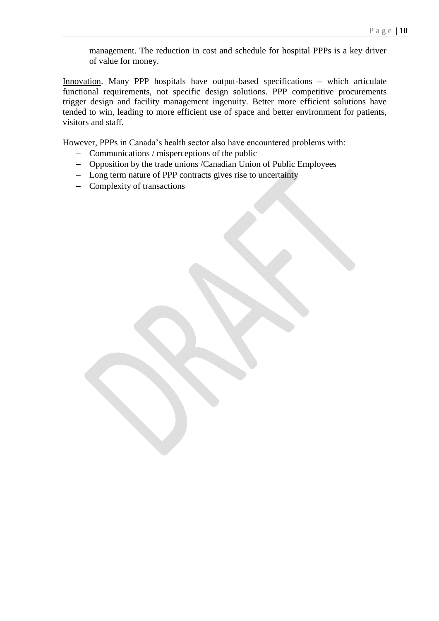management. The reduction in cost and schedule for hospital PPPs is a key driver of value for money.

Innovation. Many PPP hospitals have output-based specifications – which articulate functional requirements, not specific design solutions. PPP competitive procurements trigger design and facility management ingenuity. Better more efficient solutions have tended to win, leading to more efficient use of space and better environment for patients, visitors and staff.

However, PPPs in Canada's health sector also have encountered problems with:

- $\overline{-}$  Communications / misperceptions of the public
- Opposition by the trade unions /Canadian Union of Public Employees
- Long term nature of PPP contracts gives rise to uncertainty
- Complexity of transactions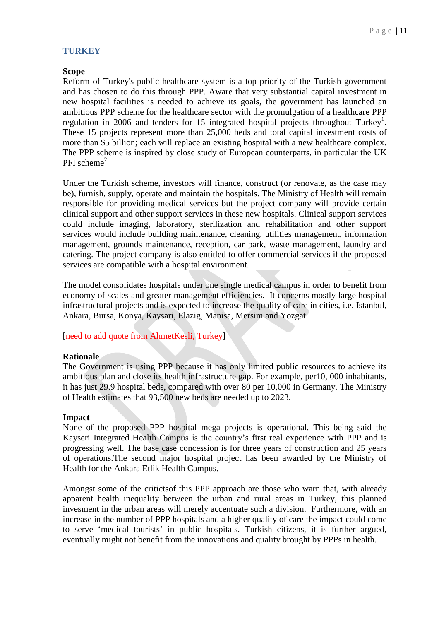## **TURKEY**

## **Scope**

Reform of Turkey's public healthcare system is a top priority of the Turkish government and has chosen to do this through PPP. Aware that very substantial capital investment in new hospital facilities is needed to achieve its goals, the government has launched an ambitious PPP scheme for the healthcare sector with the promulgation of a healthcare PPP regulation in 2006 and tenders for 15 integrated hospital projects throughout Turkey<sup>1</sup>. These 15 projects represent more than 25,000 beds and total capital investment costs of more than \$5 billion; each will replace an existing hospital with a new healthcare complex. The PPP scheme is inspired by close study of European counterparts, in particular the UK PFI scheme $2$ 

Under the Turkish scheme, investors will finance, construct (or renovate, as the case may be), furnish, supply, operate and maintain the hospitals. The Ministry of Health will remain responsible for providing medical services but the project company will provide certain clinical support and other support services in these new hospitals. Clinical support services could include imaging, laboratory, sterilization and rehabilitation and other support services would include building maintenance, cleaning, utilities management, information management, grounds maintenance, reception, car park, waste management, laundry and catering. The project company is also entitled to offer commercial services if the proposed services are compatible with a hospital environment.

The model consolidates hospitals under one single medical campus in order to benefit from economy of scales and greater management efficiencies. It concerns mostly large hospital infrastructural projects and is expected to increase the quality of care in cities, i.e. Istanbul, Ankara, Bursa, Konya, Kaysari, Elazig, Manisa, Mersim and Yozgat.

[need to add quote from AhmetKesli, Turkey]

#### **Rationale**

The Government is using PPP because it has only limited public resources to achieve its ambitious plan and close its health infrastructure gap. For example, per10, 000 inhabitants, it has just 29.9 hospital beds, compared with over 80 per 10,000 in Germany. The Ministry of Health estimates that 93,500 new beds are needed up to 2023.

## **Impact**

None of the proposed PPP hospital mega projects is operational. This being said the Kayseri Integrated Health Campus is the country's first real experience with PPP and is progressing well. The base case concession is for three years of construction and 25 years of operations.The second major hospital project has been awarded by the Ministry of Health for the Ankara Etlik Health Campus.

Amongst some of the critictsof this PPP approach are those who warn that, with already apparent health inequality between the urban and rural areas in Turkey, this planned invesment in the urban areas will merely accentuate such a division. Furthermore, with an increase in the number of PPP hospitals and a higher quality of care the impact could come to serve 'medical tourists' in public hospitals. Turkish citizens, it is further argued, eventually might not benefit from the innovations and quality brought by PPPs in health.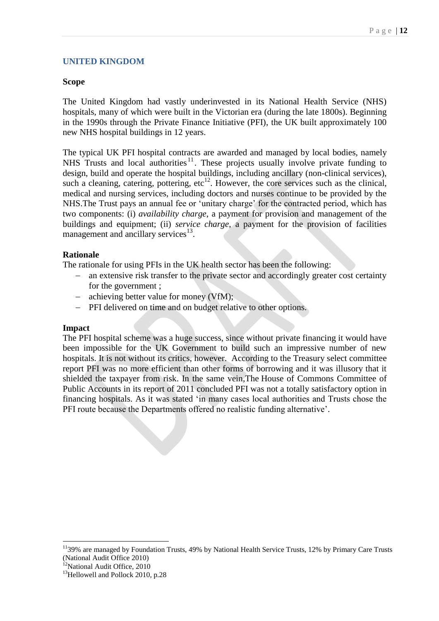## **UNITED KINGDOM**

## **Scope**

The United Kingdom had vastly underinvested in its National Health Service (NHS) hospitals, many of which were built in the Victorian era (during the late 1800s). Beginning in the 1990s through the Private Finance Initiative (PFI), the UK built approximately 100 new NHS hospital buildings in 12 years.

The typical UK PFI hospital contracts are awarded and managed by local bodies, namely NHS Trusts and local authorities <sup>11</sup>. These projects usually involve private funding to design, build and operate the hospital buildings, including ancillary (non-clinical services), such a cleaning, catering, pottering, etc<sup>12</sup>. However, the core services such as the clinical, medical and nursing services, including doctors and nurses continue to be provided by the NHS.The Trust pays an annual fee or 'unitary charge' for the contracted period, which has two components: (i) *availability charge*, a payment for provision and management of the buildings and equipment; (ii) *service charge*, a payment for the provision of facilities management and ancillary services<sup>13</sup>.

## **Rationale**

The rationale for using PFIs in the UK health sector has been the following:

- an extensive risk transfer to the private sector and accordingly greater cost certainty for the government ;
- achieving better value for money (VfM);
- PFI delivered on time and on budget relative to other options.

## **Impact**

The PFI hospital scheme was a huge success, since without private financing it would have been impossible for the UK Government to build such an impressive number of new hospitals. It is not without its critics, however. According to the Treasury select committee report PFI was no more efficient than other forms of borrowing and it was illusory that it shielded the taxpayer from risk. In the same vein,The House of Commons Committee of Public Accounts in its report of 2011 concluded PFI was not a totally satisfactory option in financing hospitals. As it was stated 'in many cases local authorities and Trusts chose the PFI route because the Departments offered no realistic funding alternative'.

-

<sup>&</sup>lt;sup>11</sup>39% are managed by Foundation Trusts, 49% by National Health Service Trusts, 12% by Primary Care Trusts (National Audit Office 2010)

<sup>&</sup>lt;sup>12</sup>National Audit Office, 2010

<sup>&</sup>lt;sup>13</sup>Hellowell and Pollock 2010, p.28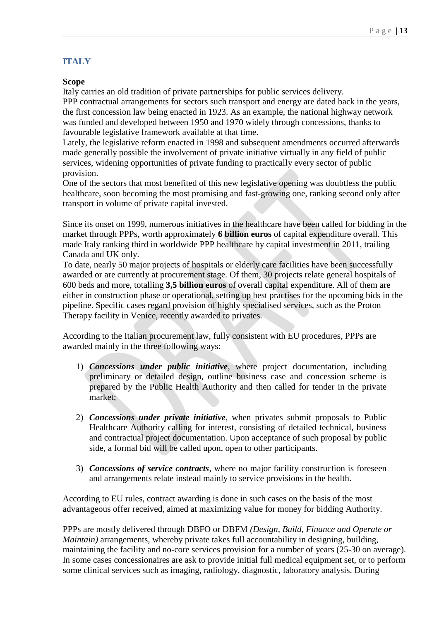# **ITALY**

## **Scope**

Italy carries an old tradition of private partnerships for public services delivery.

PPP contractual arrangements for sectors such transport and energy are dated back in the years, the first concession law being enacted in 1923. As an example, the national highway network was funded and developed between 1950 and 1970 widely through concessions, thanks to favourable legislative framework available at that time.

Lately, the legislative reform enacted in 1998 and subsequent amendments occurred afterwards made generally possible the involvement of private initiative virtually in any field of public services, widening opportunities of private funding to practically every sector of public provision.

One of the sectors that most benefited of this new legislative opening was doubtless the public healthcare, soon becoming the most promising and fast-growing one, ranking second only after transport in volume of private capital invested.

Since its onset on 1999, numerous initiatives in the healthcare have been called for bidding in the market through PPPs, worth approximately **6 billion euros** of capital expenditure overall. This made Italy ranking third in worldwide PPP healthcare by capital investment in 2011, trailing Canada and UK only.

To date, nearly 50 major projects of hospitals or elderly care facilities have been successfully awarded or are currently at procurement stage. Of them, 30 projects relate general hospitals of 600 beds and more, totalling **3,5 billion euros** of overall capital expenditure. All of them are either in construction phase or operational, setting up best practises for the upcoming bids in the pipeline. Specific cases regard provision of highly specialised services, such as the Proton Therapy facility in Venice, recently awarded to privates.

According to the Italian procurement law, fully consistent with EU procedures, PPPs are awarded mainly in the three following ways:

- 1) *Concessions under public initiative*, where project documentation, including preliminary or detailed design, outline business case and concession scheme is prepared by the Public Health Authority and then called for tender in the private market;
- 2) *Concessions under private initiative*, when privates submit proposals to Public Healthcare Authority calling for interest, consisting of detailed technical, business and contractual project documentation. Upon acceptance of such proposal by public side, a formal bid will be called upon, open to other participants.
- 3) *Concessions of service contracts*, where no major facility construction is foreseen and arrangements relate instead mainly to service provisions in the health.

According to EU rules, contract awarding is done in such cases on the basis of the most advantageous offer received, aimed at maximizing value for money for bidding Authority.

PPPs are mostly delivered through DBFO or DBFM *(Design, Build, Finance and Operate or Maintain*) arrangements, whereby private takes full accountability in designing, building, maintaining the facility and no-core services provision for a number of years (25-30 on average). In some cases concessionaires are ask to provide initial full medical equipment set, or to perform some clinical services such as imaging, radiology, diagnostic, laboratory analysis. During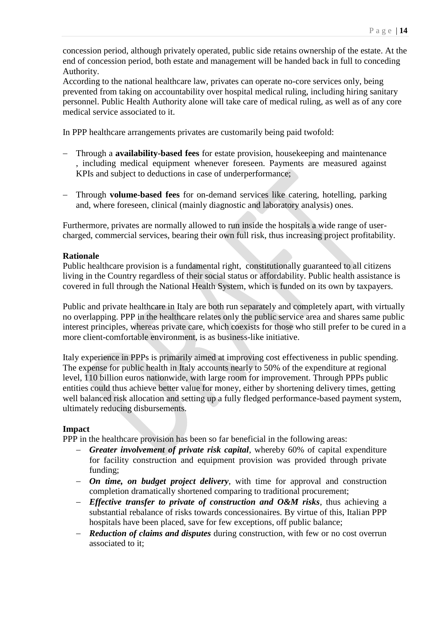concession period, although privately operated, public side retains ownership of the estate. At the end of concession period, both estate and management will be handed back in full to conceding Authority.

According to the national healthcare law, privates can operate no-core services only, being prevented from taking on accountability over hospital medical ruling, including hiring sanitary personnel. Public Health Authority alone will take care of medical ruling, as well as of any core medical service associated to it.

In PPP healthcare arrangements privates are customarily being paid twofold:

- Through a **availability-based fees** for estate provision, housekeeping and maintenance , including medical equipment whenever foreseen. Payments are measured against KPIs and subject to deductions in case of underperformance;
- Through **volume-based fees** for on-demand services like catering, hotelling, parking and, where foreseen, clinical (mainly diagnostic and laboratory analysis) ones.

Furthermore, privates are normally allowed to run inside the hospitals a wide range of usercharged, commercial services, bearing their own full risk, thus increasing project profitability.

#### **Rationale**

Public healthcare provision is a fundamental right, constitutionally guaranteed to all citizens living in the Country regardless of their social status or affordability. Public health assistance is covered in full through the National Health System, which is funded on its own by taxpayers.

Public and private healthcare in Italy are both run separately and completely apart, with virtually no overlapping. PPP in the healthcare relates only the public service area and shares same public interest principles, whereas private care, which coexists for those who still prefer to be cured in a more client-comfortable environment, is as business-like initiative.

Italy experience in PPPs is primarily aimed at improving cost effectiveness in public spending. The expense for public health in Italy accounts nearly to 50% of the expenditure at regional level, 110 billion euros nationwide, with large room for improvement. Through PPPs public entities could thus achieve better value for money, either by shortening delivery times, getting well balanced risk allocation and setting up a fully fledged performance-based payment system, ultimately reducing disbursements.

#### **Impact**

PPP in the healthcare provision has been so far beneficial in the following areas:

- *Greater involvement of private risk capital*, whereby 60% of capital expenditure for facility construction and equipment provision was provided through private funding;
- *On time, on budget project delivery*, with time for approval and construction completion dramatically shortened comparing to traditional procurement;
- *Effective transfer to private of construction and O&M risks*, thus achieving a substantial rebalance of risks towards concessionaires. By virtue of this, Italian PPP hospitals have been placed, save for few exceptions, off public balance;
- *Reduction of claims and disputes* during construction, with few or no cost overrun associated to it;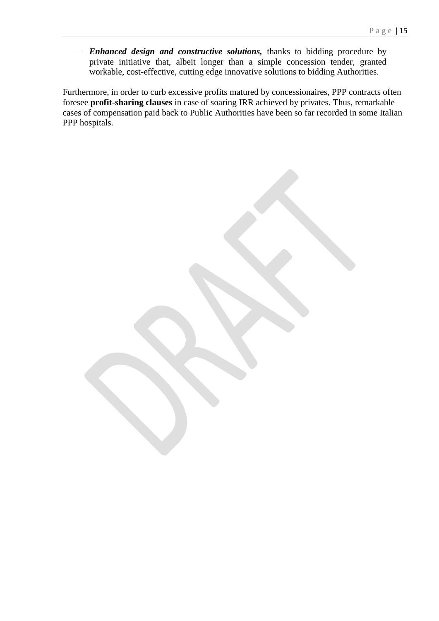*Enhanced design and constructive solutions,* thanks to bidding procedure by private initiative that, albeit longer than a simple concession tender, granted workable, cost-effective, cutting edge innovative solutions to bidding Authorities.

Furthermore, in order to curb excessive profits matured by concessionaires, PPP contracts often foresee **profit-sharing clauses** in case of soaring IRR achieved by privates. Thus, remarkable cases of compensation paid back to Public Authorities have been so far recorded in some Italian PPP hospitals.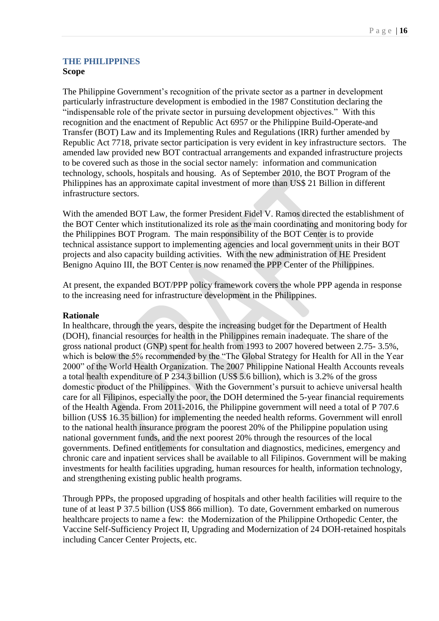## **THE PHILIPPINES Scope**

The Philippine Government's recognition of the private sector as a partner in development particularly infrastructure development is embodied in the 1987 Constitution declaring the "indispensable role of the private sector in pursuing development objectives." With this recognition and the enactment of Republic Act 6957 or the Philippine Build-Operate-and Transfer (BOT) Law and its Implementing Rules and Regulations (IRR) further amended by Republic Act 7718, private sector participation is very evident in key infrastructure sectors. The amended law provided new BOT contractual arrangements and expanded infrastructure projects to be covered such as those in the social sector namely: information and communication technology, schools, hospitals and housing. As of September 2010, the BOT Program of the Philippines has an approximate capital investment of more than US\$ 21 Billion in different infrastructure sectors.

With the amended BOT Law, the former President Fidel V. Ramos directed the establishment of the BOT Center which institutionalized its role as the main coordinating and monitoring body for the Philippines BOT Program. The main responsibility of the BOT Center is to provide technical assistance support to implementing agencies and local government units in their BOT projects and also capacity building activities. With the new administration of HE President Benigno Aquino III, the BOT Center is now renamed the PPP Center of the Philippines.

At present, the expanded BOT/PPP policy framework covers the whole PPP agenda in response to the increasing need for infrastructure development in the Philippines.

## **Rationale**

In healthcare, through the years, despite the increasing budget for the Department of Health (DOH), financial resources for health in the Philippines remain inadequate. The share of the gross national product (GNP) spent for health from 1993 to 2007 hovered between 2.75- 3.5%, which is below the 5% recommended by the "The Global Strategy for Health for All in the Year 2000" of the World Health Organization. The 2007 Philippine National Health Accounts reveals a total health expenditure of P 234.3 billion (US\$ 5.6 billion), which is 3.2% of the gross domestic product of the Philippines. With the Government's pursuit to achieve universal health care for all Filipinos, especially the poor, the DOH determined the 5-year financial requirements of the Health Agenda. From 2011-2016, the Philippine government will need a total of P 707.6 billion (US\$ 16.35 billion) for implementing the needed health reforms. Government will enroll to the national health insurance program the poorest 20% of the Philippine population using national government funds, and the next poorest 20% through the resources of the local governments. Defined entitlements for consultation and diagnostics, medicines, emergency and chronic care and inpatient services shall be available to all Filipinos. Government will be making investments for health facilities upgrading, human resources for health, information technology, and strengthening existing public health programs.

Through PPPs, the proposed upgrading of hospitals and other health facilities will require to the tune of at least P 37.5 billion (US\$ 866 million). To date, Government embarked on numerous healthcare projects to name a few: the Modernization of the Philippine Orthopedic Center, the Vaccine Self-Sufficiency Project II, Upgrading and Modernization of 24 DOH-retained hospitals including Cancer Center Projects, etc.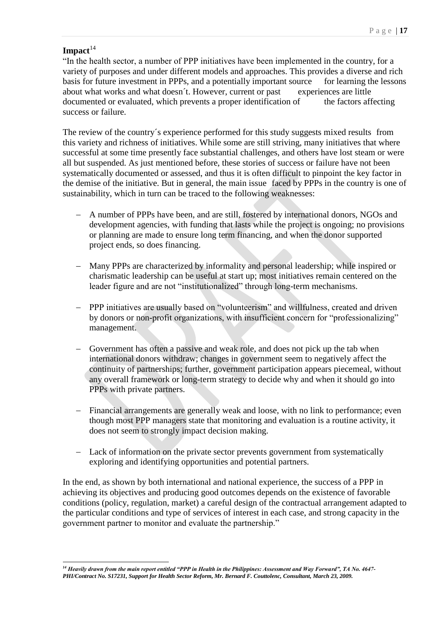## Impact<sup>14</sup>

"In the health sector, a number of PPP initiatives have been implemented in the country, for a variety of purposes and under different models and approaches. This provides a diverse and rich basis for future investment in PPPs, and a potentially important source for learning the lessons about what works and what doesn't. However, current or past experiences are little documented or evaluated, which prevents a proper identification of the factors affecting success or failure.

The review of the country´s experience performed for this study suggests mixed results from this variety and richness of initiatives. While some are still striving, many initiatives that where successful at some time presently face substantial challenges, and others have lost steam or were all but suspended. As just mentioned before, these stories of success or failure have not been systematically documented or assessed, and thus it is often difficult to pinpoint the key factor in the demise of the initiative. But in general, the main issue faced by PPPs in the country is one of sustainability, which in turn can be traced to the following weaknesses:

- A number of PPPs have been, and are still, fostered by international donors, NGOs and development agencies, with funding that lasts while the project is ongoing; no provisions or planning are made to ensure long term financing, and when the donor supported project ends, so does financing.
- Many PPPs are characterized by informality and personal leadership; while inspired or charismatic leadership can be useful at start up; most initiatives remain centered on the leader figure and are not "institutionalized" through long-term mechanisms.
- PPP initiatives are usually based on "volunteerism" and willfulness, created and driven by donors or non-profit organizations, with insufficient concern for "professionalizing" management.
- Government has often a passive and weak role, and does not pick up the tab when international donors withdraw; changes in government seem to negatively affect the continuity of partnerships; further, government participation appears piecemeal, without any overall framework or long-term strategy to decide why and when it should go into PPPs with private partners.
- Financial arrangements are generally weak and loose, with no link to performance; even though most PPP managers state that monitoring and evaluation is a routine activity, it does not seem to strongly impact decision making.
- Lack of information on the private sector prevents government from systematically exploring and identifying opportunities and potential partners.

In the end, as shown by both international and national experience, the success of a PPP in achieving its objectives and producing good outcomes depends on the existence of favorable conditions (policy, regulation, market) a careful design of the contractual arrangement adapted to the particular conditions and type of services of interest in each case, and strong capacity in the government partner to monitor and evaluate the partnership."

<sup>1</sup> *<sup>14</sup> Heavily drawn from the main report entitled "PPP in Health in the Philippines: Assessment and Way Forward", TA No. 4647- PHI/Contract No. S17231, Support for Health Sector Reform, Mr. Bernard F. Couttolenc, Consultant, March 23, 2009.*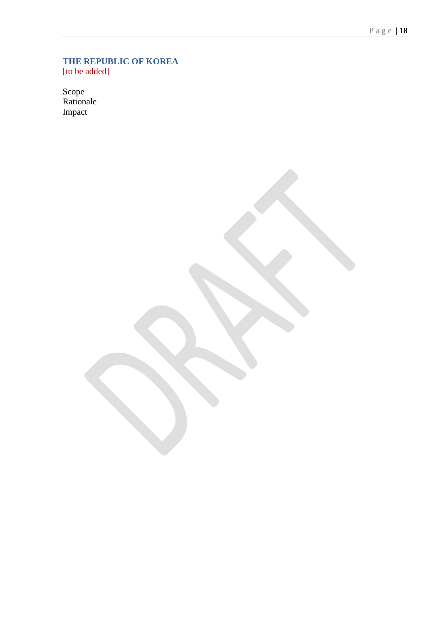#### **THE REPUBLIC OF KOREA** [to be added]

Scope Rationale Impact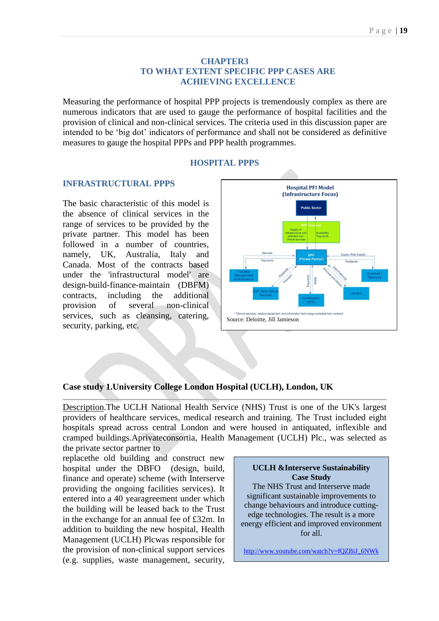### **CHAPTER3 TO WHAT EXTENT SPECIFIC PPP CASES ARE ACHIEVING EXCELLENCE**

Measuring the performance of hospital PPP projects is tremendously complex as there are numerous indicators that are used to gauge the performance of hospital facilities and the provision of clinical and non-clinical services. The criteria used in this discussion paper are intended to be 'big dot' indicators of performance and shall not be considered as definitive measures to gauge the hospital PPPs and PPP health programmes.

#### **HOSPITAL PPPS**

#### **INFRASTRUCTURAL PPPS**

The basic characteristic of this model is the absence of clinical services in the range of services to be provided by the private partner. This model has been followed in a number of countries, namely, UK, Australia, Italy and Canada. Most of the contracts based under the 'infrastructural model' are design-build-finance-maintain (DBFM) contracts, including the additional provision of several non-clinical services, such as cleansing, catering, security, parking, etc.



## **Case study 1.University College London Hospital (UCLH), London, UK**

Description.The UCLH National Health Service (NHS) Trust is one of the UK's largest providers of healthcare services, medical research and training. The Trust included eight hospitals spread across central London and were housed in antiquated, inflexible and cramped buildings.Aprivateconsortia, Health Management (UCLH) Plc., was selected as the private sector partner to

replacethe old building and construct new hospital under the DBFO (design, build, finance and operate) scheme (with Interserve providing the ongoing facilities services). It entered into a 40 yearagreement under which the building will be leased back to the Trust in the exchange for an annual fee of £32m. In addition to building the new hospital, Health Management (UCLH) Plcwas responsible for the provision of non-clinical support services (e.g. supplies, waste management, security,

#### **UCLH &Interserve Sustainability Case Study**

The NHS Trust and Interserve made significant sustainable improvements to change behaviours and introduce cuttingedge technologies. The result is a more energy efficient and improved environment for all.

[http://www.youtube.com/watch?v=fQZBiJ\\_6NWk](http://www.youtube.com/watch?v=fQZBiJ_6NWk)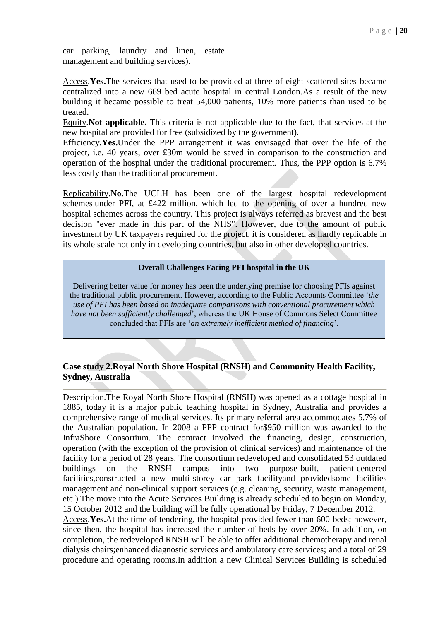car parking, laundry and linen, estate management and building services).

Access.**Yes.**The services that used to be provided at three of eight scattered sites became centralized into a new 669 bed acute hospital in central London.As a result of the new building it became possible to treat 54,000 patients, 10% more patients than used to be treated.

Equity.**Not applicable.** This criteria is not applicable due to the fact, that services at the new hospital are provided for free (subsidized by the government).

Efficiency.**Yes.**Under the PPP arrangement it was envisaged that over the life of the project, i.e. 40 years, over £30m would be saved in comparison to the construction and operation of the hospital under the traditional procurement. Thus, the PPP option is 6.7% less costly than the traditional procurement.

Replicability.**No.**The UCLH has been one of the largest hospital redevelopment schemes under PFI, at £422 million, which led to the opening of over a hundred new hospital schemes across the country. This project is always referred as bravest and the best decision "ever made in this part of the NHS". However, due to the amount of public investment by UK taxpayers required for the project, it is considered as hardly replicable in its whole scale not only in developing countries, but also in other developed countries.

#### **Overall Challenges Facing PFI hospital in the UK**

Delivering better value for money has been the underlying premise for choosing PFIs against the traditional public procurement. However, according to the Public Accounts Committee '*the use of PFI has been based on inadequate comparisons with conventional procurement which have not been sufficiently challenged*', whereas the UK House of Commons Select Committee concluded that PFIs are '*an extremely inefficient method of financing*'.

## **Case study 2.Royal North Shore Hospital (RNSH) and Community Health Facility, Sydney, Australia**

Description.The Royal North Shore Hospital (RNSH) was opened as a cottage hospital in 1885, today it is a major public teaching hospital in Sydney, Australia and provides a comprehensive range of medical services. Its primary referral area accommodates 5.7% of the Australian population. In 2008 a PPP contract for\$950 million was awarded to the InfraShore Consortium. The contract involved the financing, design, construction, operation (with the exception of the provision of clinical services) and maintenance of the facility for a period of 28 years. The consortium redeveloped and consolidated 53 outdated buildings on the RNSH campus into two purpose-built, patient-centered facilities,constructed a new multi-storey car park facilityand providedsome facilities management and non-clinical support services (e.g. cleaning, security, waste management, etc.).The move into the Acute Services Building is already scheduled to begin on Monday, 15 October 2012 and the building will be fully operational by Friday, 7 December 2012.

Access.**Yes.**At the time of tendering, the hospital provided fewer than 600 beds; however, since then, the hospital has increased the number of beds by over 20%. In addition, on completion, the redeveloped RNSH will be able to offer additional chemotherapy and renal dialysis chairs;enhanced diagnostic services and ambulatory care services; and a total of 29 procedure and operating rooms.In addition a new Clinical Services Building is scheduled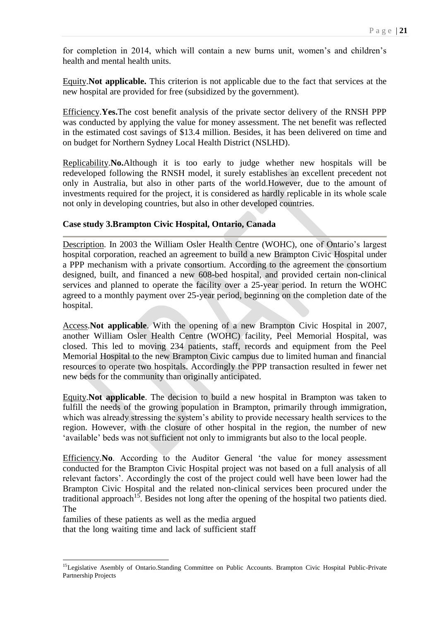for completion in 2014, which will contain a new burns unit, women's and children's health and mental health units.

Equity.**Not applicable.** This criterion is not applicable due to the fact that services at the new hospital are provided for free (subsidized by the government).

Efficiency.**Yes.**The cost benefit analysis of the private sector delivery of the RNSH PPP was conducted by applying the value for money assessment. The net benefit was reflected in the estimated cost savings of \$13.4 million. Besides, it has been delivered on time and on budget for Northern Sydney Local Health District (NSLHD).

Replicability.**No.**Although it is too early to judge whether new hospitals will be redeveloped following the RNSH model, it surely establishes an excellent precedent not only in Australia, but also in other parts of the world.However, due to the amount of investments required for the project, it is considered as hardly replicable in its whole scale not only in developing countries, but also in other developed countries.

#### **Case study 3.Brampton Civic Hospital, Ontario, Canada**

Description. In 2003 the William Osler Health Centre (WOHC), one of Ontario's largest hospital corporation, reached an agreement to build a new Brampton Civic Hospital under a PPP mechanism with a private consortium. According to the agreement the consortium designed, built, and financed a new 608-bed hospital, and provided certain non-clinical services and planned to operate the facility over a 25-year period. In return the WOHC agreed to a monthly payment over 25-year period, beginning on the completion date of the hospital.

Access.**Not applicable**. With the opening of a new Brampton Civic Hospital in 2007, another William Osler Health Centre (WOHC) facility, Peel Memorial Hospital, was closed. This led to moving 234 patients, staff, records and equipment from the Peel Memorial Hospital to the new Brampton Civic campus due to limited human and financial resources to operate two hospitals. Accordingly the PPP transaction resulted in fewer net new beds for the community than originally anticipated.

Equity.**Not applicable**. The decision to build a new hospital in Brampton was taken to fulfill the needs of the growing population in Brampton, primarily through immigration, which was already stressing the system's ability to provide necessary health services to the region. However, with the closure of other hospital in the region, the number of new 'available' beds was not sufficient not only to immigrants but also to the local people.

Efficiency.**No**. According to the Auditor General 'the value for money assessment conducted for the Brampton Civic Hospital project was not based on a full analysis of all relevant factors'. Accordingly the cost of the project could well have been lower had the Brampton Civic Hospital and the related non-clinical services been procured under the traditional approach<sup>15</sup>. Besides not long after the opening of the hospital two patients died. The

families of these patients as well as the media argued that the long waiting time and lack of sufficient staff

-

<sup>&</sup>lt;sup>15</sup>Legislative Asembly of Ontario.Standing Committee on Public Accounts. Brampton Civic Hospital Public-Private Partnership Projects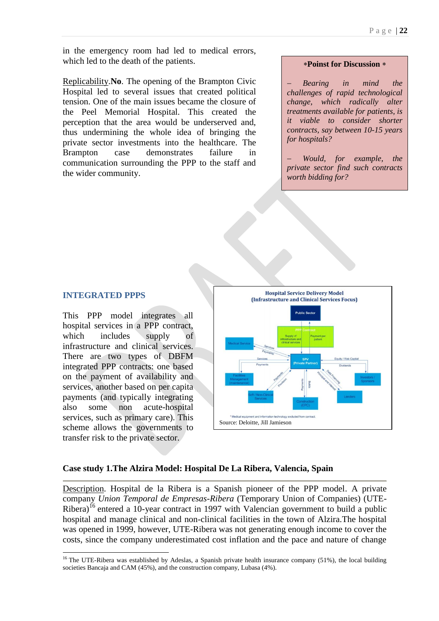in the emergency room had led to medical errors, which led to the death of the patients.

Replicability.**No**. The opening of the Brampton Civic Hospital led to several issues that created political tension. One of the main issues became the closure of the Peel Memorial Hospital. This created the perception that the area would be underserved and, thus undermining the whole idea of bringing the private sector investments into the healthcare. The Brampton case demonstrates failure in communication surrounding the PPP to the staff and the wider community.

#### **Poinst for Discussion**

 *Bearing in mind the challenges of rapid technological change, which radically alter treatments available for patients, is it viable to consider shorter contracts, say between 10-15 years for hospitals?* 

 *Would, for example, the private sector find such contracts worth bidding for?*

## **INTEGRATED PPPS**

1

This PPP model integrates all hospital services in a PPP contract, which includes supply of infrastructure and clinical services. There are two types of DBFM integrated PPP contracts: one based on the payment of availability and services, another based on per capita payments (and typically integrating also some non acute-hospital services, such as primary care). This scheme allows the governments to transfer risk to the private sector.



#### **Case study 1.The Alzira Model: Hospital De La Ribera, Valencia, Spain**

Description. Hospital de la Ribera is a Spanish pioneer of the PPP model. A private company *Union Temporal de Empresas-Ribera* (Temporary Union of Companies) (UTE-Ribera)<sup>16</sup> entered a 10-year contract in 1997 with Valencian government to build a public hospital and manage clinical and non-clinical facilities in the town of Alzira.The hospital was opened in 1999, however, UTE-Ribera was not generating enough income to cover the costs, since the company underestimated cost inflation and the pace and nature of change

<sup>&</sup>lt;sup>16</sup> The UTE-Ribera was established by Adeslas, a Spanish private health insurance company  $(51%)$ , the local building societies Bancaja and CAM (45%), and the construction company, Lubasa (4%).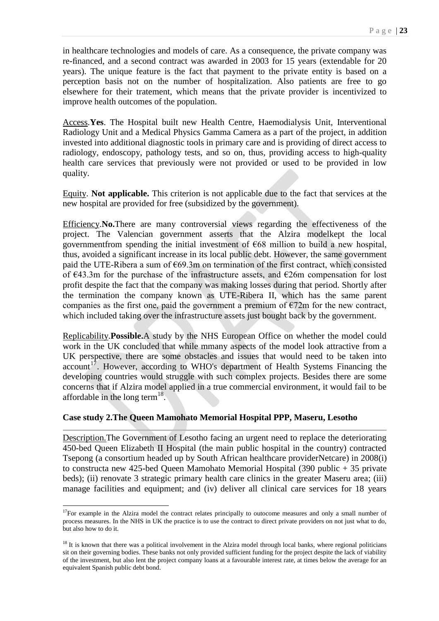in healthcare technologies and models of care. As a consequence, the private company was re-financed, and a second contract was awarded in 2003 for 15 years (extendable for 20 years). The unique feature is the fact that payment to the private entity is based on a perception basis not on the number of hospitalization. Also patients are free to go elsewhere for their tratement, which means that the private provider is incentivized to improve health outcomes of the population.

Access.**Yes**. The Hospital built new Health Centre, Haemodialysis Unit, Interventional Radiology Unit and a Medical Physics Gamma Camera as a part of the project, in addition invested into additional diagnostic tools in primary care and is providing of direct access to radiology, endoscopy, pathology tests, and so on, thus, providing access to high-quality health care services that previously were not provided or used to be provided in low quality.

Equity. **Not applicable.** This criterion is not applicable due to the fact that services at the new hospital are provided for free (subsidized by the government).

Efficiency.**No.**There are many controversial views regarding the effectiveness of the project. The Valencian government asserts that the Alzira modelkept the local governmentfrom spending the initial investment of  $E68$  million to build a new hospital, thus, avoided a significant increase in its local public debt. However, the same government paid the UTE-Ribera a sum of  $\epsilon$ 69.3m on termination of the first contract, which consisted of €43.3m for the purchase of the infrastructure assets, and €26m compensation for lost profit despite the fact that the company was making losses during that period. Shortly after the termination the company known as UTE-Ribera II, which has the same parent companies as the first one, paid the government a premium of  $\epsilon$ 72m for the new contract, which included taking over the infrastructure assets just bought back by the government.

Replicability.**Possible.**A study by the NHS European Office on whether the model could work in the UK concluded that while mmany aspects of the model look attractive from a UK perspective, there are some obstacles and issues that would need to be taken into  $account<sup>17</sup>$ . However, according to WHO's department of Health Systems Financing the developing countries would struggle with such complex projects. Besides there are some concerns that if Alzira model applied in a true commercial environment, it would fail to be affordable in the long term<sup>18</sup>.

#### **Case study 2.The Queen Mamohato Memorial Hospital PPP, Maseru, Lesotho**

Description.The Government of Lesotho facing an urgent need to replace the deteriorating 450-bed Queen Elizabeth II Hospital (the main public hospital in the country) contracted Tsepong (a consortium headed up by South African healthcare providerNetcare) in 2008(i) to constructa new 425-bed Queen Mamohato Memorial Hospital (390 public + 35 private beds); (ii) renovate 3 strategic primary health care clinics in the greater Maseru area; (iii) manage facilities and equipment; and (iv) deliver all clinical care services for 18 years

1

 $17$ For example in the Alzira model the contract relates principally to outocome measures and only a small number of process measures. In the NHS in UK the practice is to use the contract to direct private providers on not just what to do, but also how to do it.

 $18$  It is known that there was a political involvement in the Alzira model through local banks, where regional politicians sit on their governing bodies. These banks not only provided sufficient funding for the project despite the lack of viability of the investment, but also lent the project company loans at a favourable interest rate, at times below the average for an equivalent Spanish public debt bond.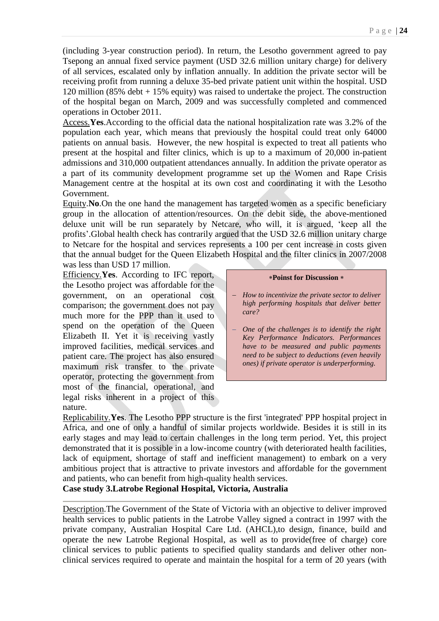(including 3-year construction period). In return, the Lesotho government agreed to pay Tsepong an annual fixed service payment (USD 32.6 million unitary charge) for delivery of all services, escalated only by inflation annually. In addition the private sector will be receiving profit from running a deluxe 35-bed private patient unit within the hospital. USD 120 million (85% debt + 15% equity) was raised to undertake the project. The construction of the hospital began on March, 2009 and was successfully completed and commenced operations in October 2011.

Access.**Yes**.According to the official data the national hospitalization rate was 3.2% of the population each year, which means that previously the hospital could treat only 64000 patients on annual basis. However, the new hospital is expected to treat all patients who present at the hospital and filter clinics, which is up to a maximum of 20,000 in-patient admissions and 310,000 outpatient attendances annually. In addition the private operator as a part of its community development programme set up the Women and Rape Crisis Management centre at the hospital at its own cost and coordinating it with the Lesotho Government.

Equity.**No**.On the one hand the management has targeted women as a specific beneficiary group in the allocation of attention/resources. On the debit side, the above-mentioned deluxe unit will be run separately by Netcare, who will, it is argued, 'keep all the profits'.Global health check has contrarily argued that the USD 32.6 million unitary charge to Netcare for the hospital and services represents a 100 per cent increase in costs given that the annual budget for the Queen Elizabeth Hospital and the filter clinics in 2007/2008 was less than USD 17 million.

Efficiency.**Yes**. According to IFC report, the Lesotho project was affordable for the government, on an operational cost comparison; the government does not pay much more for the PPP than it used to spend on the operation of the Queen Elizabeth II. Yet it is receiving vastly improved facilities, medical services and patient care. The project has also ensured maximum risk transfer to the private operator, protecting the government from most of the financial, operational, and legal risks inherent in a project of this nature.

#### **Poinst for Discussion**

- *How to incentivize the private sector to deliver high performing hospitals that deliver better care?*
- *One of the challenges is to identify the right Key Performance Indicators. Performances have to be measured and public payments need to be subject to deductions (even heavily ones) if private operator is underperforming.*

Replicability.**Yes**. The Lesotho PPP structure is the first 'integrated' PPP hospital project in Africa, and one of only a handful of similar projects worldwide. Besides it is still in its early stages and may lead to certain challenges in the long term period. Yet, this project demonstrated that it is possible in a low-income country (with deteriorated health facilities, lack of equipment, shortage of staff and inefficient management) to embark on a very ambitious project that is attractive to private investors and affordable for the government and patients, who can benefit from high-quality health services.

**Case study 3.Latrobe Regional Hospital, Victoria, Australia** 

Description.The Government of the State of Victoria with an objective to deliver improved health services to public patients in the Latrobe Valley signed a contract in 1997 with the private company, Australian Hospital Care Ltd. (AHCL),to design, finance, build and operate the new Latrobe Regional Hospital, as well as to provide(free of charge) core clinical services to public patients to specified quality standards and deliver other nonclinical services required to operate and maintain the hospital for a term of 20 years (with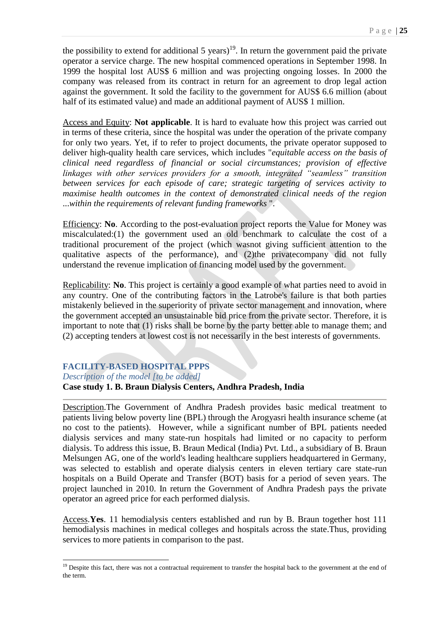the possibility to extend for additional 5 years)<sup>19</sup>. In return the government paid the private operator a service charge. The new hospital commenced operations in September 1998. In 1999 the hospital lost AUS\$ 6 million and was projecting ongoing losses. In 2000 the company was released from its contract in return for an agreement to drop legal action against the government. It sold the facility to the government for AUS\$ 6.6 million (about half of its estimated value) and made an additional payment of AUS\$ 1 million.

Access and Equity: **Not applicable**. It is hard to evaluate how this project was carried out in terms of these criteria, since the hospital was under the operation of the private company for only two years. Yet, if to refer to project documents, the private operator supposed to deliver high-quality health care services, which includes "*equitable access on the basis of clinical need regardless of financial or social circumstances; provision of effective linkages with other services providers for a smooth, integrated "seamless" transition between services for each episode of care; strategic targeting of services activity to maximise health outcomes in the context of demonstrated clinical needs of the region* ...*within the requirements of relevant funding frameworks* ".

Efficiency: **No**. According to the post-evaluation project reports the Value for Money was miscalculated:(1) the government used an old benchmark to calculate the cost of a traditional procurement of the project (which wasnot giving sufficient attention to the qualitative aspects of the performance), and (2)the privatecompany did not fully understand the revenue implication of financing model used by the government.

Replicability: **No**. This project is certainly a good example of what parties need to avoid in any country. One of the contributing factors in the Latrobe's failure is that both parties mistakenly believed in the superiority of private sector management and innovation, where the government accepted an unsustainable bid price from the private sector. Therefore, it is important to note that (1) risks shall be borne by the party better able to manage them; and (2) accepting tenders at lowest cost is not necessarily in the best interests of governments.

#### **FACILITY-BASED HOSPITAL PPPS**

*Description of the model [to be added]*

-

#### **Case study 1. B. Braun Dialysis Centers, Andhra Pradesh, India**

Description.The Government of Andhra Pradesh provides basic medical treatment to patients living below poverty line (BPL) through the Arogyasri health insurance scheme (at no cost to the patients). However, while a significant number of BPL patients needed dialysis services and many state-run hospitals had limited or no capacity to perform dialysis. To address this issue, B. Braun Medical (India) Pvt. Ltd., a subsidiary of B. Braun Melsungen AG, one of the world's leading healthcare suppliers headquartered in Germany, was selected to establish and operate dialysis centers in eleven tertiary care state-run hospitals on a Build Operate and Transfer (BOT) basis for a period of seven years. The project launched in 2010. In return the Government of Andhra Pradesh pays the private operator an agreed price for each performed dialysis.

Access.**Yes**. 11 hemodialysis centers established and run by B. Braun together host 111 hemodialysis machines in medical colleges and hospitals across the state.Thus, providing services to more patients in comparison to the past.

 $19$  Despite this fact, there was not a contractual requirement to transfer the hospital back to the government at the end of the term.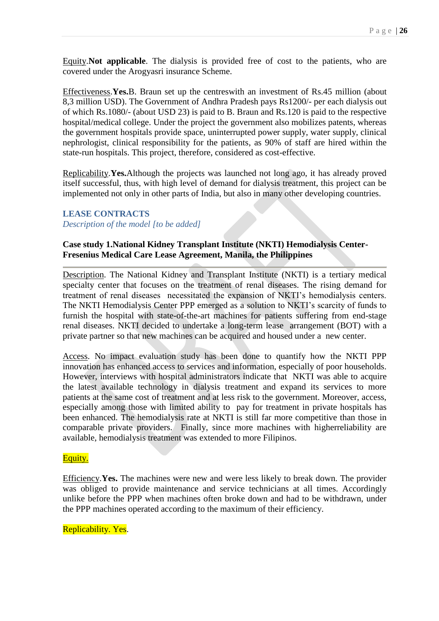Equity.**Not applicable**. The dialysis is provided free of cost to the patients, who are covered under the Arogyasri insurance Scheme.

Effectiveness.**Yes.**B. Braun set up the centreswith an investment of Rs.45 million (about 8,3 million USD). The Government of Andhra Pradesh pays Rs1200/- per each dialysis out of which Rs.1080/- (about USD 23) is paid to B. Braun and Rs.120 is paid to the respective hospital/medical college. Under the project the government also mobilizes patents, whereas the government hospitals provide space, uninterrupted power supply, water supply, clinical nephrologist, clinical responsibility for the patients, as 90% of staff are hired within the state-run hospitals. This project, therefore, considered as cost-effective.

Replicability.**Yes.**Although the projects was launched not long ago, it has already proved itself successful, thus, with high level of demand for dialysis treatment, this project can be implemented not only in other parts of India, but also in many other developing countries.

# **LEASE CONTRACTS**

# *Description of the model [to be added]*

## **Case study 1.National Kidney Transplant Institute (NKTI) Hemodialysis Center-Fresenius Medical Care Lease Agreement, Manila, the Philippines**

Description. The National Kidney and Transplant Institute (NKTI) is a tertiary medical specialty center that focuses on the treatment of renal diseases. The rising demand for treatment of renal diseases necessitated the expansion of NKTI's hemodialysis centers. The NKTI Hemodialysis Center PPP emerged as a solution to NKTI's scarcity of funds to furnish the hospital with state-of-the-art machines for patients suffering from end-stage renal diseases. NKTI decided to undertake a long-term lease arrangement (BOT) with a private partner so that new machines can be acquired and housed under a new center.

Access. No impact evaluation study has been done to quantify how the NKTI PPP innovation has enhanced access to services and information, especially of poor households. However, interviews with hospital administrators indicate that NKTI was able to acquire the latest available technology in dialysis treatment and expand its services to more patients at the same cost of treatment and at less risk to the government. Moreover, access, especially among those with limited ability to pay for treatment in private hospitals has been enhanced. The hemodialysis rate at NKTI is still far more competitive than those in comparable private providers. Finally, since more machines with higherreliability are available, hemodialysis treatment was extended to more Filipinos.

#### Equity.

Efficiency.**Yes.** The machines were new and were less likely to break down. The provider was obliged to provide maintenance and service technicians at all times. Accordingly unlike before the PPP when machines often broke down and had to be withdrawn, under the PPP machines operated according to the maximum of their efficiency.

#### Replicability. Yes.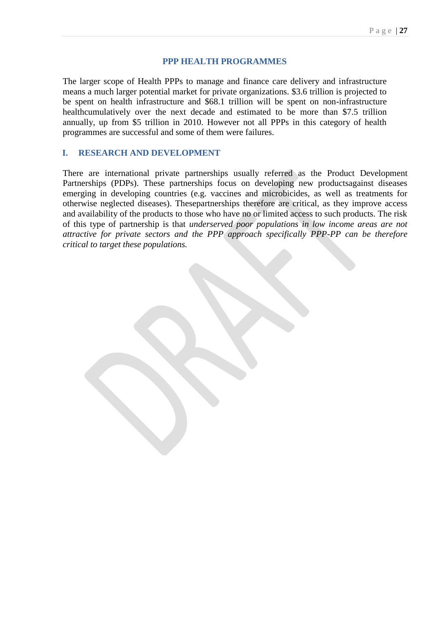#### **PPP HEALTH PROGRAMMES**

The larger scope of Health PPPs to manage and finance care delivery and infrastructure means a much larger potential market for private organizations. \$3.6 trillion is projected to be spent on health infrastructure and \$68.1 trillion will be spent on non-infrastructure healthcumulatively over the next decade and estimated to be more than \$7.5 trillion annually, up from \$5 trillion in 2010. However not all PPPs in this category of health programmes are successful and some of them were failures.

#### **I. RESEARCH AND DEVELOPMENT**

<span id="page-26-0"></span>There are international private partnerships usually referred as the Product Development Partnerships (PDPs). These partnerships focus on developing new productsagainst diseases emerging in developing countries (e.g. vaccines and microbicides, as well as treatments for otherwise neglected diseases). Thesepartnerships therefore are critical, as they improve access and availability of the products to those who have no or limited access to such products. The risk of this type of partnership is that *underserved poor populations in low income areas are not attractive for private sectors and the PPP approach specifically PPP-PP can be therefore critical to target these populations.*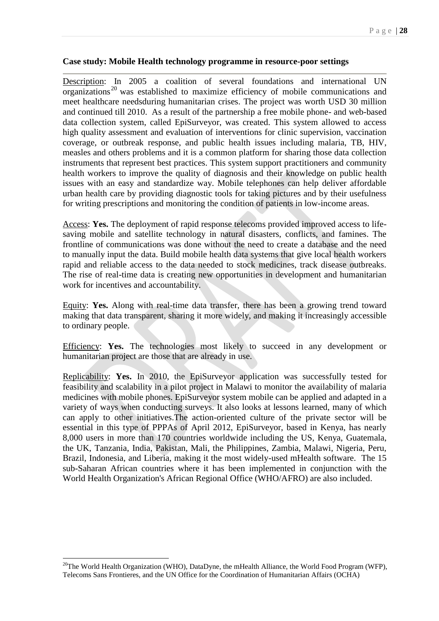#### **Case study: Mobile Health technology programme in resource-poor settings**

Description: In 2005 a coalition of several foundations and international UN  $\overline{\text{organizations}}^{20}$  was established to maximize efficiency of mobile communications and meet healthcare needsduring humanitarian crises. The project was worth USD 30 million and continued till 2010. As a result of the partnership a free mobile phone- and web-based data collection system, called EpiSurveyor, was created. This system allowed to access high quality assessment and evaluation of interventions for clinic supervision, vaccination coverage, or outbreak response, and public health issues including malaria, TB, HIV, measles and others problems and it is a common platform for sharing those data collection instruments that represent best practices. This system support practitioners and community health workers to improve the quality of diagnosis and their knowledge on public health issues with an easy and standardize way. Mobile telephones can help deliver affordable urban health care by providing diagnostic tools for taking pictures and by their usefulness for writing prescriptions and monitoring the condition of patients in low-income areas.

Access: **Yes.** The deployment of rapid response telecoms provided improved access to lifesaving mobile and satellite technology in natural disasters, conflicts, and famines. The frontline of communications was done without the need to create a database and the need to manually input the data. Build mobile health data systems that give local health workers rapid and reliable access to the data needed to stock medicines, track disease outbreaks. The rise of real-time data is creating new opportunities in development and humanitarian work for incentives and accountability.

Equity: **Yes.** Along with real-time data transfer, there has been a growing trend toward making that data transparent, sharing it more widely, and making it increasingly accessible to ordinary people.

Efficiency: **Yes.** The technologies most likely to succeed in any development or humanitarian project are those that are already in use.

Replicability: **Yes.** In 2010, the EpiSurveyor application was successfully tested for feasibility and scalability in a pilot project in Malawi to monitor the availability of malaria medicines with mobile phones. EpiSurveyor system mobile can be applied and adapted in a variety of ways when conducting surveys. It also looks at lessons learned, many of which can apply to other initiatives.The action-oriented culture of the private sector will be essential in this type of PPPAs of April 2012, EpiSurveyor, based in Kenya, has nearly 8,000 users in more than 170 countries worldwide including the US, Kenya, Guatemala, the UK, Tanzania, India, Pakistan, Mali, the Philippines, Zambia, Malawi, Nigeria, Peru, Brazil, Indonesia, and Liberia, making it the most widely-used mHealth software. The 15 sub-Saharan African countries where it has been implemented in conjunction with the World Health Organization's African Regional Office (WHO/AFRO) are also included.

-

<sup>&</sup>lt;sup>20</sup>The World Health Organization (WHO), DataDyne, the mHealth Alliance, the World Food Program (WFP), Telecoms Sans Frontieres, and the UN Office for the Coordination of Humanitarian Affairs (OCHA)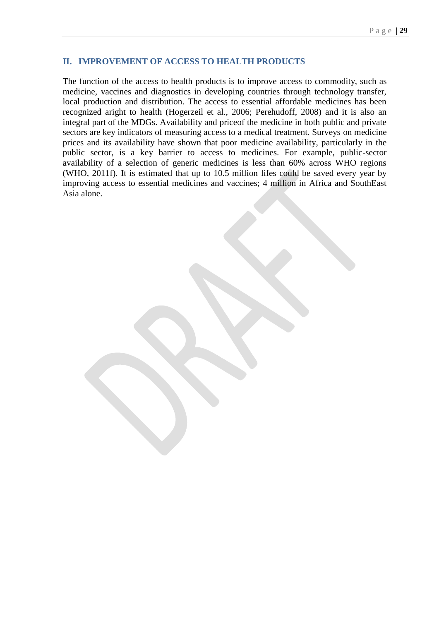## **II. IMPROVEMENT OF ACCESS TO HEALTH PRODUCTS**

<span id="page-28-0"></span>The function of the access to health products is to improve access to commodity, such as medicine, vaccines and diagnostics in developing countries through technology transfer, local production and distribution. The access to essential affordable medicines has been recognized aright to health (Hogerzeil et al., 2006; Perehudoff, 2008) and it is also an integral part of the MDGs. Availability and priceof the medicine in both public and private sectors are key indicators of measuring access to a medical treatment. Surveys on medicine prices and its availability have shown that poor medicine availability, particularly in the public sector, is a key barrier to access to medicines. For example, public-sector availability of a selection of generic medicines is less than 60% across WHO regions (WHO, 2011f). It is estimated that up to 10.5 million lifes could be saved every year by improving access to essential medicines and vaccines; 4 million in Africa and SouthEast Asia alone.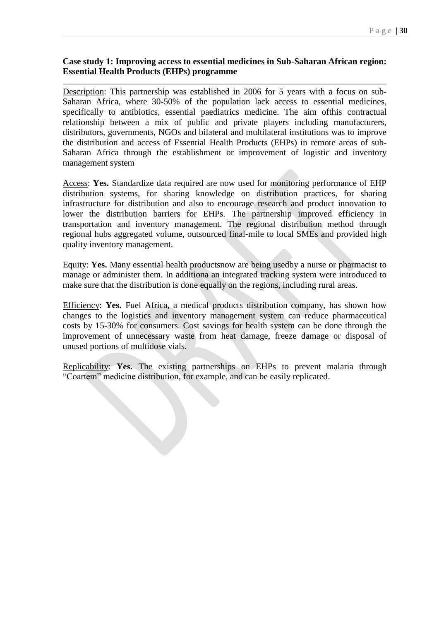### **Case study 1: Improving access to essential medicines in Sub-Saharan African region: Essential Health Products (EHPs) programme**

Description: This partnership was established in 2006 for 5 years with a focus on sub-Saharan Africa, where 30-50% of the population lack access to essential medicines, specifically to antibiotics, essential paediatrics medicine. The aim ofthis contractual relationship between a mix of public and private players including manufacturers, distributors, governments, NGOs and bilateral and multilateral institutions was to improve the distribution and access of Essential Health Products (EHPs) in remote areas of sub-Saharan Africa through the establishment or improvement of logistic and inventory management system

Access: **Yes.** Standardize data required are now used for monitoring performance of EHP distribution systems, for sharing knowledge on distribution practices, for sharing infrastructure for distribution and also to encourage research and product innovation to lower the distribution barriers for EHPs. The partnership improved efficiency in transportation and inventory management. The regional distribution method through regional hubs aggregated volume, outsourced final-mile to local SMEs and provided high quality inventory management.

Equity: **Yes.** Many essential health productsnow are being usedby a nurse or pharmacist to manage or administer them. In additiona an integrated tracking system were introduced to make sure that the distribution is done equally on the regions, including rural areas.

Efficiency: **Yes.** Fuel Africa, a medical products distribution company, has shown how changes to the logistics and inventory management system can reduce pharmaceutical costs by 15-30% for consumers. Cost savings for health system can be done through the improvement of unnecessary waste from heat damage, freeze damage or disposal of unused portions of multidose vials.

Replicability: **Yes.** The existing partnerships on EHPs to prevent malaria through "Coartem" medicine distribution, for example, and can be easily replicated.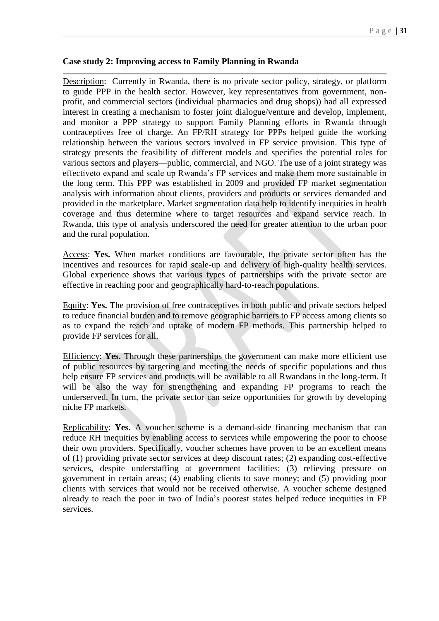#### <span id="page-30-0"></span>**Case study 2: Improving access to Family Planning in Rwanda**

Description: Currently in Rwanda, there is no private sector policy, strategy, or platform to guide PPP in the health sector. However, key representatives from government, nonprofit, and commercial sectors (individual pharmacies and drug shops)) had all expressed interest in creating a mechanism to foster joint dialogue/venture and develop, implement, and monitor a PPP strategy to support Family Planning efforts in Rwanda through contraceptives free of charge. An FP/RH strategy for PPPs helped guide the working relationship between the various sectors involved in FP service provision. This type of strategy presents the feasibility of different models and specifies the potential roles for various sectors and players—public, commercial, and NGO. The use of a joint strategy was effectiveto expand and scale up Rwanda's FP services and make them more sustainable in the long term. This PPP was established in 2009 and provided FP market segmentation analysis with information about clients, providers and products or services demanded and provided in the marketplace. Market segmentation data help to identify inequities in health coverage and thus determine where to target resources and expand service reach. In Rwanda, this type of analysis underscored the need for greater attention to the urban poor and the rural population.

Access: **Yes.** When market conditions are favourable, the private sector often has the incentives and resources for rapid scale-up and delivery of high-quality health services. Global experience shows that various types of partnerships with the private sector are effective in reaching poor and geographically hard-to-reach populations.

Equity: **Yes.** The provision of free contraceptives in both public and private sectors helped to reduce financial burden and to remove geographic barriers to FP access among clients so as to expand the reach and uptake of modern FP methods. This partnership helped to provide FP services for all.

Efficiency: **Yes.** Through these partnerships the government can make more efficient use of public resources by targeting and meeting the needs of specific populations and thus help ensure FP services and products will be available to all Rwandans in the long-term. It will be also the way for strengthening and expanding FP programs to reach the underserved. In turn, the private sector can seize opportunities for growth by developing niche FP markets.

Replicability: **Yes.** A voucher scheme is a demand-side financing mechanism that can reduce RH inequities by enabling access to services while empowering the poor to choose their own providers. Specifically, voucher schemes have proven to be an excellent means of (1) providing private sector services at deep discount rates; (2) expanding cost-effective services, despite understaffing at government facilities; (3) relieving pressure on government in certain areas; (4) enabling clients to save money; and (5) providing poor clients with services that would not be received otherwise. A voucher scheme designed already to reach the poor in two of India's poorest states helped reduce inequities in FP services.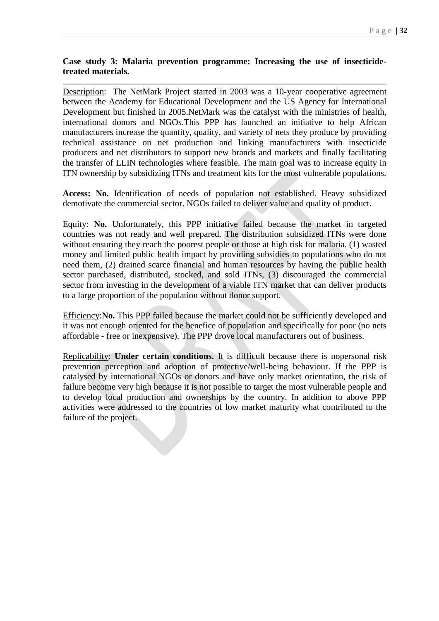## <span id="page-31-0"></span>**Case study 3: Malaria prevention programme: Increasing the use of insecticidetreated materials.**

Description: The NetMark Project started in 2003 was a 10-year cooperative agreement between the Academy for Educational Development and the US Agency for International Development but finished in 2005.NetMark was the catalyst with the ministries of health, international donors and NGOs.This PPP has launched an initiative to help African manufacturers increase the quantity, quality, and variety of nets they produce by providing technical assistance on net production and linking manufacturers with insecticide producers and net distributors to support new brands and markets and finally facilitating the transfer of LLIN technologies where feasible. The main goal was to increase equity in ITN ownership by subsidizing ITNs and treatment kits for the most vulnerable populations.

**Access: No.** Identification of needs of population not established. Heavy subsidized demotivate the commercial sector. NGOs failed to deliver value and quality of product.

Equity: **No.** Unfortunately, this PPP initiative failed because the market in targeted countries was not ready and well prepared. The distribution subsidized ITNs were done without ensuring they reach the poorest people or those at high risk for malaria. (1) wasted money and limited public health impact by providing subsidies to populations who do not need them, (2) drained scarce financial and human resources by having the public health sector purchased, distributed, stocked, and sold ITNs, (3) discouraged the commercial sector from investing in the development of a viable ITN market that can deliver products to a large proportion of the population without donor support.

Efficiency:**No.** This PPP failed because the market could not be sufficiently developed and it was not enough oriented for the benefice of population and specifically for poor (no nets affordable - free or inexpensive). The PPP drove local manufacturers out of business.

Replicability: **Under certain conditions.** It is difficult because there is nopersonal risk prevention perception and adoption of protective/well-being behaviour. If the PPP is catalysed by international NGOs or donors and have only market orientation, the risk of failure become very high because it is not possible to target the most vulnerable people and to develop local production and ownerships by the country. In addition to above PPP activities were addressed to the countries of low market maturity what contributed to the failure of the project.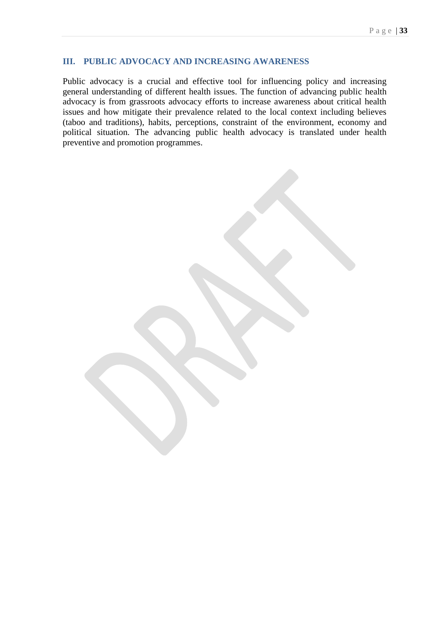## **III. PUBLIC ADVOCACY AND INCREASING AWARENESS**

Public advocacy is a crucial and effective tool for influencing policy and increasing general understanding of different health issues. The function of advancing public health advocacy is from grassroots advocacy efforts to increase awareness about critical health issues and how mitigate their prevalence related to the local context including believes (taboo and traditions), habits, perceptions, constraint of the environment, economy and political situation. The advancing public health advocacy is translated under health preventive and promotion programmes.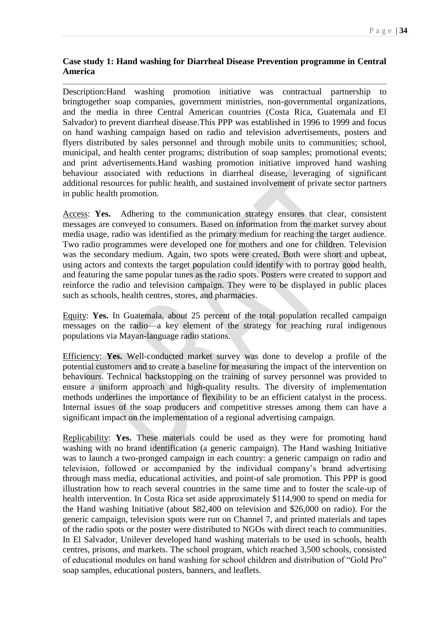## <span id="page-33-0"></span>**Case study 1: Hand washing for Diarrheal Disease Prevention programme in Central America**

Description:Hand washing promotion initiative was contractual partnership to bringtogether soap companies, government ministries, non-governmental organizations, and the media in three Central American countries (Costa Rica, Guatemala and El Salvador) to prevent diarrheal disease.This PPP was established in 1996 to 1999 and focus on hand washing campaign based on radio and television advertisements, posters and flyers distributed by sales personnel and through mobile units to communities; school, municipal, and health center programs; distribution of soap samples; promotional events; and print advertisements.Hand washing promotion initiative improved hand washing behaviour associated with reductions in diarrheal disease, leveraging of significant additional resources for public health, and sustained involvement of private sector partners in public health promotion.

Access: **Yes.** Adhering to the communication strategy ensures that clear, consistent messages are conveyed to consumers. Based on information from the market survey about media usage, radio was identified as the primary medium for reaching the target audience. Two radio programmes were developed one for mothers and one for children. Television was the secondary medium. Again, two spots were created. Both were short and upbeat, using actors and contexts the target population could identify with to portray good health, and featuring the same popular tunes as the radio spots. Posters were created to support and reinforce the radio and television campaign. They were to be displayed in public places such as schools, health centres, stores, and pharmacies.

Equity: **Yes.** In Guatemala, about 25 percent of the total population recalled campaign messages on the radio—a key element of the strategy for reaching rural indigenous populations via Mayan-language radio stations.

Efficiency: **Yes.** Well-conducted market survey was done to develop a profile of the potential customers and to create a baseline for measuring the impact of the intervention on behaviours. Technical backstopping on the training of survey personnel was provided to ensure a uniform approach and high-quality results. The diversity of implementation methods underlines the importance of flexibility to be an efficient catalyst in the process. Internal issues of the soap producers and competitive stresses among them can have a significant impact on the implementation of a regional advertising campaign.

Replicability: **Yes.** These materials could be used as they were for promoting hand washing with no brand identification (a generic campaign). The Hand washing Initiative was to launch a two-pronged campaign in each country: a generic campaign on radio and television, followed or accompanied by the individual company's brand advertising through mass media, educational activities, and point-of sale promotion. This PPP is good illustration how to reach several countries in the same time and to foster the scale-up of health intervention. In Costa Rica set aside approximately \$114,900 to spend on media for the Hand washing Initiative (about \$82,400 on television and \$26,000 on radio). For the generic campaign, television spots were run on Channel 7, and printed materials and tapes of the radio spots or the poster were distributed to NGOs with direct reach to communities. In El Salvador, Unilever developed hand washing materials to be used in schools, health centres, prisons, and markets. The school program, which reached 3,500 schools, consisted of educational modules on hand washing for school children and distribution of "Gold Pro" soap samples, educational posters, banners, and leaflets.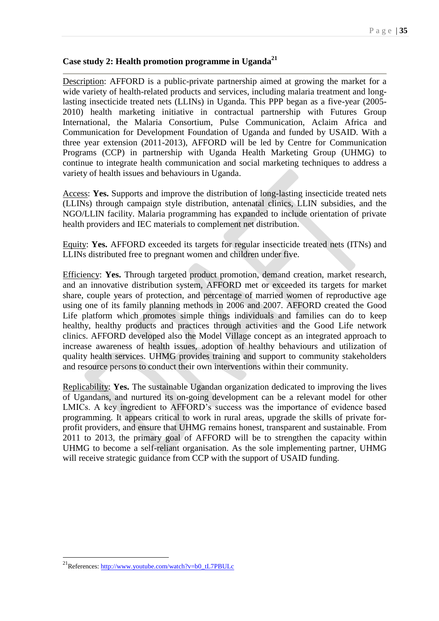## <span id="page-34-0"></span>**Case study 2: Health promotion programme in Uganda<sup>21</sup>**

Description: AFFORD is a public-private partnership aimed at growing the market for a wide variety of health-related products and services, including malaria treatment and longlasting insecticide treated nets (LLINs) in Uganda. This PPP began as a five-year (2005- 2010) health marketing initiative in contractual partnership with Futures Group International, the Malaria Consortium, Pulse Communication, Aclaim Africa and Communication for Development Foundation of Uganda and funded by USAID. With a three year extension (2011-2013), AFFORD will be led by Centre for Communication Programs (CCP) in partnership with Uganda Health Marketing Group (UHMG) to continue to integrate health communication and social marketing techniques to address a variety of health issues and behaviours in Uganda.

Access: **Yes.** Supports and improve the distribution of long-lasting insecticide treated nets (LLINs) through campaign style distribution, antenatal clinics, LLIN subsidies, and the NGO/LLIN facility. Malaria programming has expanded to include orientation of private health providers and IEC materials to complement net distribution.

Equity: **Yes.** AFFORD exceeded its targets for regular insecticide treated nets (ITNs) and LLINs distributed free to pregnant women and children under five.

Efficiency: **Yes.** Through targeted product promotion, demand creation, market research, and an innovative distribution system, AFFORD met or exceeded its targets for market share, couple years of protection, and percentage of married women of reproductive age using one of its family planning methods in 2006 and 2007. AFFORD created the Good Life platform which promotes simple things individuals and families can do to keep healthy, healthy products and practices through activities and the Good Life network clinics. AFFORD developed also the Model Village concept as an integrated approach to increase awareness of health issues, adoption of healthy behaviours and utilization of quality health services. UHMG provides training and support to community stakeholders and resource persons to conduct their own interventions within their community.

Replicability: **Yes.** The sustainable Ugandan organization dedicated to improving the lives of Ugandans, and nurtured its on-going development can be a relevant model for other LMICs. A key ingredient to AFFORD's success was the importance of evidence based programming. It appears critical to work in rural areas, upgrade the skills of private forprofit providers, and ensure that UHMG remains honest, transparent and sustainable. From 2011 to 2013, the primary goal of AFFORD will be to strengthen the capacity within UHMG to become a self-reliant organisation. As the sole implementing partner, UHMG will receive strategic guidance from CCP with the support of USAID funding.

-

<sup>&</sup>lt;sup>21</sup>References: [http://www.youtube.com/watch?v=b0\\_tL7PBULc](http://www.youtube.com/watch?v=b0_tL7PBULc)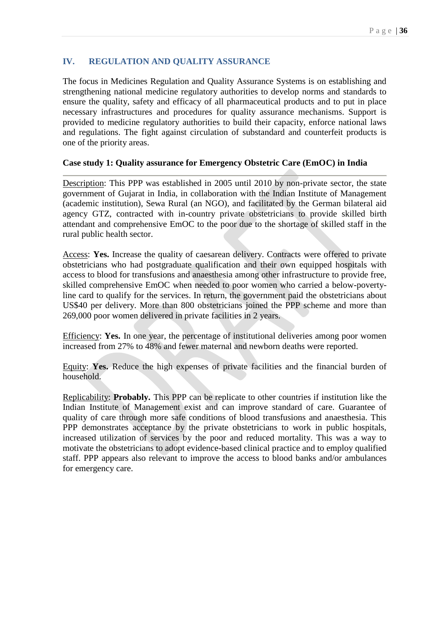## **IV. REGULATION AND QUALITY ASSURANCE**

The focus in Medicines Regulation and Quality Assurance Systems is on establishing and strengthening national medicine regulatory authorities to develop norms and standards to ensure the quality, safety and efficacy of all pharmaceutical products and to put in place necessary infrastructures and procedures for quality assurance mechanisms. Support is provided to medicine regulatory authorities to build their capacity, enforce national laws and regulations. The fight against circulation of substandard and counterfeit products is one of the priority areas.

## <span id="page-35-0"></span>**Case study 1: Quality assurance for Emergency Obstetric Care (EmOC) in India**

Description: This PPP was established in 2005 until 2010 by non-private sector, the state government of Gujarat in India, in collaboration with the Indian Institute of Management (academic institution), Sewa Rural (an NGO), and facilitated by the German bilateral aid agency GTZ, contracted with in-country private obstetricians to provide skilled birth attendant and comprehensive EmOC to the poor due to the shortage of skilled staff in the rural public health sector.

Access: **Yes.** Increase the quality of caesarean delivery. Contracts were offered to private obstetricians who had postgraduate qualification and their own equipped hospitals with access to blood for transfusions and anaesthesia among other infrastructure to provide free, skilled comprehensive EmOC when needed to poor women who carried a below-povertyline card to qualify for the services. In return, the government paid the obstetricians about US\$40 per delivery. More than 800 obstetricians joined the PPP scheme and more than 269,000 poor women delivered in private facilities in 2 years.

Efficiency: **Yes.** In one year, the percentage of institutional deliveries among poor women increased from 27% to 48% and fewer maternal and newborn deaths were reported.

Equity: **Yes.** Reduce the high expenses of private facilities and the financial burden of household.

Replicability: **Probably.** This PPP can be replicate to other countries if institution like the Indian Institute of Management exist and can improve standard of care. Guarantee of quality of care through more safe conditions of blood transfusions and anaesthesia. This PPP demonstrates acceptance by the private obstetricians to work in public hospitals, increased utilization of services by the poor and reduced mortality. This was a way to motivate the obstetricians to adopt evidence-based clinical practice and to employ qualified staff. PPP appears also relevant to improve the access to blood banks and/or ambulances for emergency care.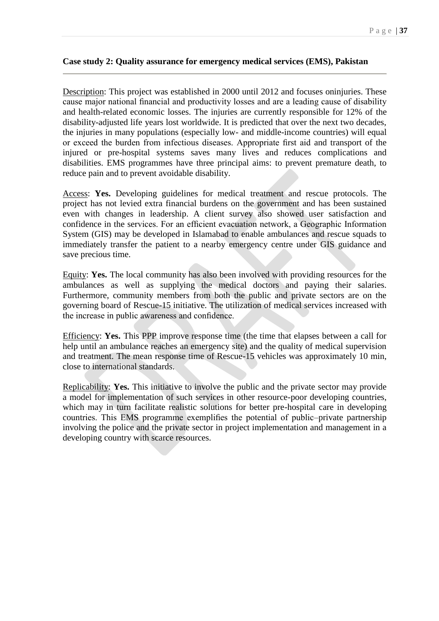#### <span id="page-36-0"></span>**Case study 2: Quality assurance for emergency medical services (EMS), Pakistan**

Description: This project was established in 2000 until 2012 and focuses oninjuries. These cause major national financial and productivity losses and are a leading cause of disability and health-related economic losses. The injuries are currently responsible for 12% of the disability-adjusted life years lost worldwide. It is predicted that over the next two decades, the injuries in many populations (especially low- and middle-income countries) will equal or exceed the burden from infectious diseases. Appropriate first aid and transport of the injured or pre-hospital systems saves many lives and reduces complications and disabilities. EMS programmes have three principal aims: to prevent premature death, to reduce pain and to prevent avoidable disability.

Access: **Yes.** Developing guidelines for medical treatment and rescue protocols. The project has not levied extra financial burdens on the government and has been sustained even with changes in leadership. A client survey also showed user satisfaction and confidence in the services. For an efficient evacuation network, a Geographic Information System (GIS) may be developed in Islamabad to enable ambulances and rescue squads to immediately transfer the patient to a nearby emergency centre under GIS guidance and save precious time.

Equity: **Yes.** The local community has also been involved with providing resources for the ambulances as well as supplying the medical doctors and paying their salaries. Furthermore, community members from both the public and private sectors are on the governing board of Rescue-15 initiative. The utilization of medical services increased with the increase in public awareness and confidence.

Efficiency: **Yes.** This PPP improve response time (the time that elapses between a call for help until an ambulance reaches an emergency site) and the quality of medical supervision and treatment. The mean response time of Rescue-15 vehicles was approximately 10 min, close to international standards.

Replicability: **Yes.** This initiative to involve the public and the private sector may provide a model for implementation of such services in other resource-poor developing countries, which may in turn facilitate realistic solutions for better pre-hospital care in developing countries. This EMS programme exemplifies the potential of public–private partnership involving the police and the private sector in project implementation and management in a developing country with scarce resources.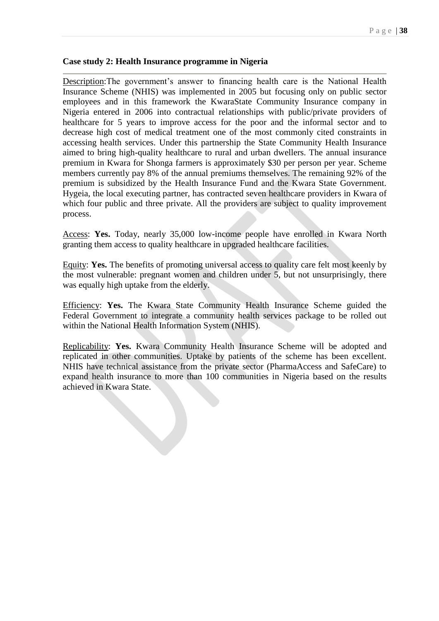#### **Case study 2: Health Insurance programme in Nigeria**

Description:The government's answer to financing health care is the National Health Insurance Scheme (NHIS) was implemented in 2005 but focusing only on public sector employees and in this framework the KwaraState Community Insurance company in Nigeria entered in 2006 into contractual relationships with public/private providers of healthcare for 5 years to improve access for the poor and the informal sector and to decrease high cost of medical treatment one of the most commonly cited constraints in accessing health services. Under this partnership the State Community Health Insurance aimed to bring high-quality healthcare to rural and urban dwellers. The annual insurance premium in Kwara for Shonga farmers is approximately \$30 per person per year. Scheme members currently pay 8% of the annual premiums themselves. The remaining 92% of the premium is subsidized by the Health Insurance Fund and the Kwara State Government. Hygeia, the local executing partner, has contracted seven healthcare providers in Kwara of which four public and three private. All the providers are subject to quality improvement process.

Access: **Yes.** Today, nearly 35,000 low-income people have enrolled in Kwara North granting them access to quality healthcare in upgraded healthcare facilities.

Equity: **Yes.** The benefits of promoting universal access to quality care felt most keenly by the most vulnerable: pregnant women and children under 5, but not unsurprisingly, there was equally high uptake from the elderly.

Efficiency: **Yes.** The Kwara State Community Health Insurance Scheme guided the Federal Government to integrate a community health services package to be rolled out within the National Health Information System (NHIS).

Replicability: **Yes.** Kwara Community Health Insurance Scheme will be adopted and replicated in other communities. Uptake by patients of the scheme has been excellent. NHIS have technical assistance from the private sector (PharmaAccess and SafeCare) to expand health insurance to more than 100 communities in Nigeria based on the results achieved in Kwara State.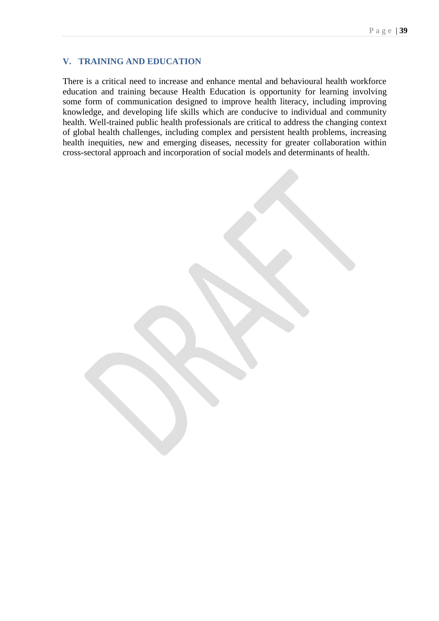## **V. TRAINING AND EDUCATION**

There is a critical need to increase and enhance mental and behavioural health workforce education and training because Health Education is opportunity for learning involving some form of communication designed to improve health literacy, including improving knowledge, and developing life skills which are conducive to individual and community health. Well-trained public health professionals are critical to address the changing context of global health challenges, including complex and persistent health problems, increasing health inequities, new and emerging diseases, necessity for greater collaboration within cross-sectoral approach and incorporation of social models and determinants of health.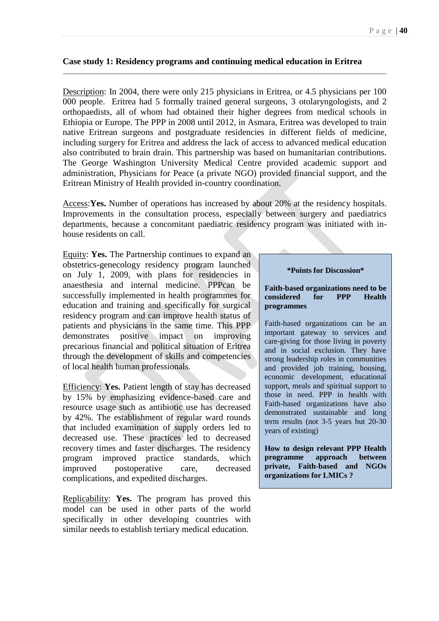#### <span id="page-39-0"></span>**Case study 1: Residency programs and continuing medical education in Eritrea**

Description: In 2004, there were only 215 physicians in Eritrea, or 4.5 physicians per 100 000 people. Eritrea had 5 formally trained general surgeons, 3 otolaryngologists, and 2 orthopaedists, all of whom had obtained their higher degrees from medical schools in Ethiopia or Europe. The PPP in 2008 until 2012, in Asmara, Eritrea was developed to train native Eritrean surgeons and postgraduate residencies in different fields of medicine, including surgery for Eritrea and address the lack of access to advanced medical education also contributed to brain drain. This partnership was based on humanitarian contributions. The George Washington University Medical Centre provided academic support and administration, Physicians for Peace (a private NGO) provided financial support, and the Eritrean Ministry of Health provided in-country coordination.

Access:**Yes.** Number of operations has increased by about 20% at the residency hospitals. Improvements in the consultation process, especially between surgery and paediatrics departments, because a concomitant paediatric residency program was initiated with inhouse residents on call.

Equity: **Yes.** The Partnership continues to expand an obstetrics-genecology residency program launched on July 1, 2009, with plans for residencies in anaesthesia and internal medicine. PPPcan be successfully implemented in health programmes for education and training and specifically for surgical residency program and can improve health status of patients and physicians in the same time. This PPP demonstrates positive impact on improving precarious financial and political situation of Eritrea through the development of skills and competencies of local health human professionals.

Efficiency: **Yes.** Patient length of stay has decreased by 15% by emphasizing evidence-based care and resource usage such as antibiotic use has decreased by 42%. The establishment of regular ward rounds that included examination of supply orders led to decreased use. These practices led to decreased recovery times and faster discharges. The residency program improved practice standards, which improved postoperative care, decreased complications, and expedited discharges.

Replicability: **Yes.** The program has proved this model can be used in other parts of the world specifically in other developing countries with similar needs to establish tertiary medical education.

#### **\*Points for Discussion\***

#### **Faith-based organizations need to be considered for PPP Health programmes**

Faith-based organizations can be an important gateway to services and care-giving for those living in poverty and in social exclusion. They have strong leadership roles in communities and provided job training, housing, economic development, educational support, meals and spiritual support to those in need. PPP in health with Faith-based organizations have also demonstrated sustainable and long term results (not 3-5 years but 20-30 years of existing)

**How to design relevant PPP Health programme approach between private, Faith-based and NGOs organizations for LMICs ?**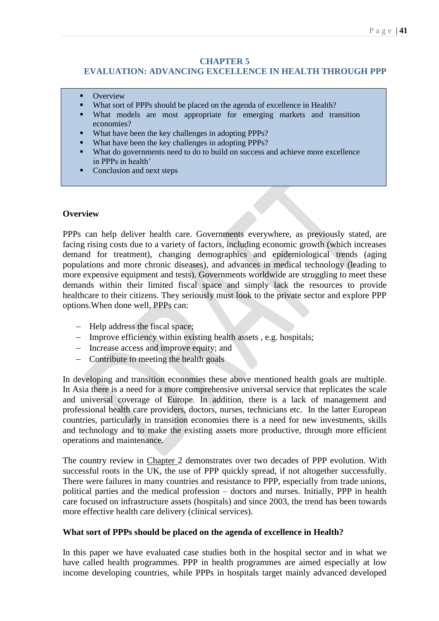## **CHAPTER 5**

# **EVALUATION: ADVANCING EXCELLENCE IN HEALTH THROUGH PPP**

- **Overview**
- What sort of PPPs should be placed on the agenda of excellence in Health?
- What models are most appropriate for emerging markets and transition economies?
- What have been the key challenges in adopting PPPs?
- What have been the key challenges in adopting PPPs?
- What do governments need to do to build on success and achieve more excellence in PPPs in health'
- Conclusion and next steps

## **Overview**

PPPs can help deliver health care. Governments everywhere, as previously stated, are facing rising costs due to a variety of factors, including economic growth (which increases demand for treatment), changing demographics and epidemiological trends (aging populations and more chronic diseases), and advances in medical technology (leading to more expensive equipment and tests). Governments worldwide are struggling to meet these demands within their limited fiscal space and simply lack the resources to provide healthcare to their citizens. They seriously must look to the private sector and explore PPP options.When done well, PPPs can:

- Help address the fiscal space;
- Improve efficiency within existing health assets, e.g. hospitals;
- Increase access and improve equity; and
- Contribute to meeting the health goals

In developing and transition economies these above mentioned health goals are multiple. In Asia there is a need for a more comprehensive universal service that replicates the scale and universal coverage of Europe. In addition, there is a lack of management and professional health care providers, doctors, nurses, technicians etc. In the latter European countries, particularly in transition economies there is a need for new investments, skills and technology and to make the existing assets more productive, through more efficient operations and maintenance.

The country review in Chapter 2 demonstrates over two decades of PPP evolution. With successful roots in the UK, the use of PPP quickly spread, if not altogether successfully. There were failures in many countries and resistance to PPP, especially from trade unions, political parties and the medical profession – doctors and nurses. Initially, PPP in health care focused on infrastructure assets (hospitals) and since 2003, the trend has been towards more effective health care delivery (clinical services).

#### **What sort of PPPs should be placed on the agenda of excellence in Health?**

In this paper we have evaluated case studies both in the hospital sector and in what we have called health programmes. PPP in health programmes are aimed especially at low income developing countries, while PPPs in hospitals target mainly advanced developed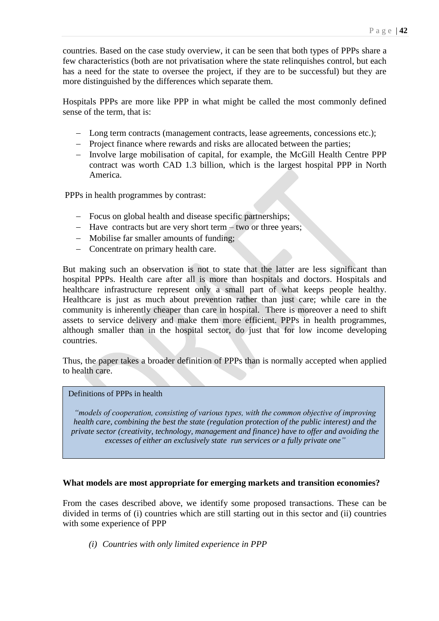countries. Based on the case study overview, it can be seen that both types of PPPs share a few characteristics (both are not privatisation where the state relinquishes control, but each has a need for the state to oversee the project, if they are to be successful) but they are more distinguished by the differences which separate them.

Hospitals PPPs are more like PPP in what might be called the most commonly defined sense of the term, that is:

- Long term contracts (management contracts, lease agreements, concessions etc.);
- Project finance where rewards and risks are allocated between the parties;
- Involve large mobilisation of capital, for example, the McGill Health Centre PPP contract was worth CAD 1.3 billion, which is the largest hospital PPP in North America.

PPPs in health programmes by contrast:

- Focus on global health and disease specific partnerships;
- Have contracts but are very short term two or three years;
- Mobilise far smaller amounts of funding;
- Concentrate on primary health care.

But making such an observation is not to state that the latter are less significant than hospital PPPs. Health care after all is more than hospitals and doctors. Hospitals and healthcare infrastructure represent only a small part of what keeps people healthy. Healthcare is just as much about prevention rather than just care; while care in the community is inherently cheaper than care in hospital. There is moreover a need to shift assets to service delivery and make them more efficient. PPPs in health programmes, although smaller than in the hospital sector, do just that for low income developing countries.

Thus, the paper takes a broader definition of PPPs than is normally accepted when applied to health care.

#### Definitions of PPPs in health

*"models of cooperation, consisting of various types, with the common objective of improving health care, combining the best the state (regulation protection of the public interest) and the private sector (creativity, technology, management and finance) have to offer and avoiding the excesses of either an exclusively state run services or a fully private one"*

#### **What models are most appropriate for emerging markets and transition economies?**

From the cases described above, we identify some proposed transactions. These can be divided in terms of (i) countries which are still starting out in this sector and (ii) countries with some experience of PPP

*(i) Countries with only limited experience in PPP*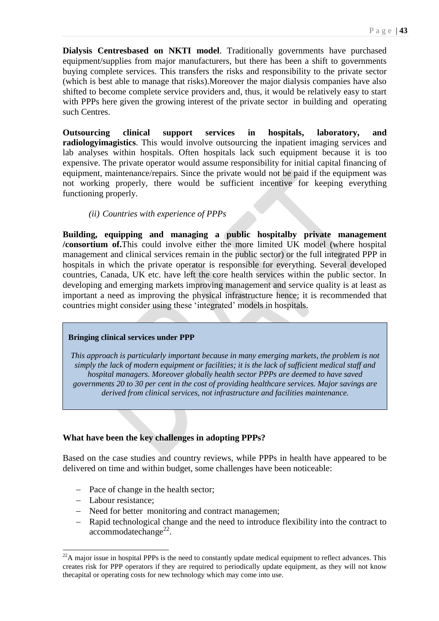**Dialysis Centresbased on NKTI model**. Traditionally governments have purchased equipment/supplies from major manufacturers, but there has been a shift to governments buying complete services. This transfers the risks and responsibility to the private sector (which is best able to manage that risks).Moreover the major dialysis companies have also shifted to become complete service providers and, thus, it would be relatively easy to start with PPPs here given the growing interest of the private sector in building and operating such Centres.

**Outsourcing clinical support services in hospitals, laboratory, and radiologyimagistics**. This would involve outsourcing the inpatient imaging services and lab analyses within hospitals. Often hospitals lack such equipment because it is too expensive. The private operator would assume responsibility for initial capital financing of equipment, maintenance/repairs. Since the private would not be paid if the equipment was not working properly, there would be sufficient incentive for keeping everything functioning properly.

#### *(ii) Countries with experience of PPPs*

**Building, equipping and managing a public hospitalby private management /consortium of.**This could involve either the more limited UK model (where hospital management and clinical services remain in the public sector) or the full integrated PPP in hospitals in which the private operator is responsible for everything. Several developed countries, Canada, UK etc. have left the core health services within the public sector. In developing and emerging markets improving management and service quality is at least as important a need as improving the physical infrastructure hence; it is recommended that countries might consider using these 'integrated' models in hospitals.

#### **Bringing clinical services under PPP**

*This approach is particularly important because in many emerging markets, the problem is not simply the lack of modern equipment or facilities; it is the lack of sufficient medical staff and hospital managers. Moreover globally health sector PPPs are deemed to have saved governments 20 to 30 per cent in the cost of providing healthcare services. Major savings are derived from clinical services, not infrastructure and facilities maintenance.*

## **What have been the key challenges in adopting PPPs?**

Based on the case studies and country reviews, while PPPs in health have appeared to be delivered on time and within budget, some challenges have been noticeable:

- Pace of change in the health sector;
- Labour resistance:

-

- Need for better monitoring and contract managemen;
- Rapid technological change and the need to introduce flexibility into the contract to  $\arccommod{ \text{atechange}^2}$ .

 $^{22}$ A major issue in hospital PPPs is the need to constantly update medical equipment to reflect advances. This creates risk for PPP operators if they are required to periodically update equipment, as they will not know thecapital or operating costs for new technology which may come into use.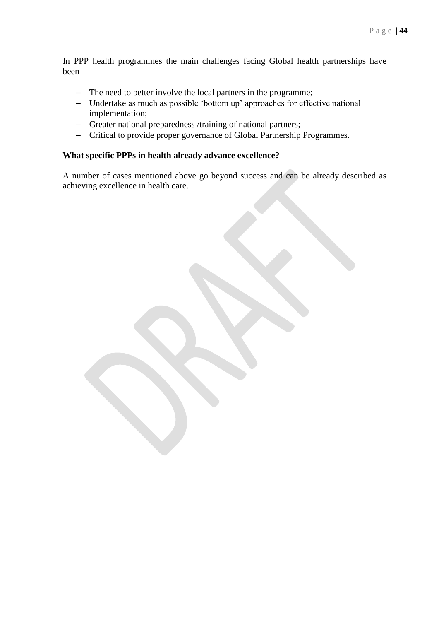In PPP health programmes the main challenges facing Global health partnerships have been

- The need to better involve the local partners in the programme;
- Undertake as much as possible 'bottom up' approaches for effective national implementation;
- Greater national preparedness /training of national partners;
- Critical to provide proper governance of Global Partnership Programmes.

## **What specific PPPs in health already advance excellence?**

A number of cases mentioned above go beyond success and can be already described as achieving excellence in health care.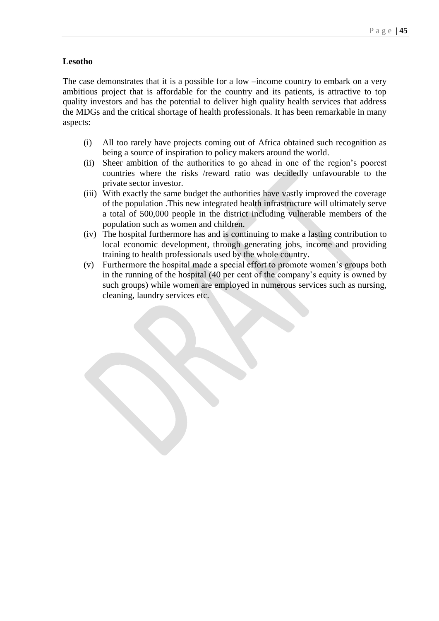#### **Lesotho**

The case demonstrates that it is a possible for a low –income country to embark on a very ambitious project that is affordable for the country and its patients, is attractive to top quality investors and has the potential to deliver high quality health services that address the MDGs and the critical shortage of health professionals. It has been remarkable in many aspects:

- (i) All too rarely have projects coming out of Africa obtained such recognition as being a source of inspiration to policy makers around the world.
- (ii) Sheer ambition of the authorities to go ahead in one of the region's poorest countries where the risks /reward ratio was decidedly unfavourable to the private sector investor.
- (iii) With exactly the same budget the authorities have vastly improved the coverage of the population .This new integrated health infrastructure will ultimately serve a total of 500,000 people in the district including vulnerable members of the population such as women and children.
- (iv) The hospital furthermore has and is continuing to make a lasting contribution to local economic development, through generating jobs, income and providing training to health professionals used by the whole country.
- (v) Furthermore the hospital made a special effort to promote women's groups both in the running of the hospital (40 per cent of the company's equity is owned by such groups) while women are employed in numerous services such as nursing, cleaning, laundry services etc.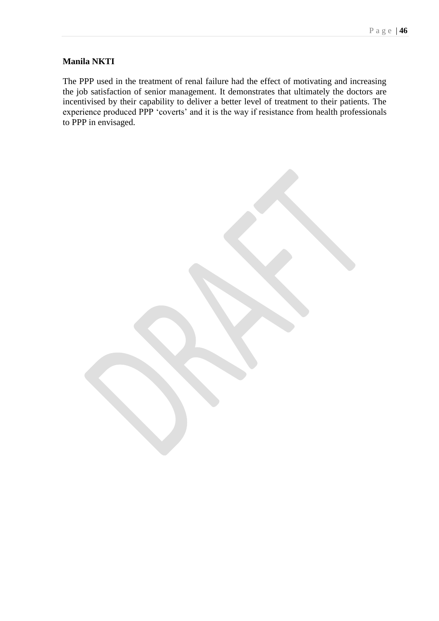## **Manila NKTI**

The PPP used in the treatment of renal failure had the effect of motivating and increasing the job satisfaction of senior management. It demonstrates that ultimately the doctors are incentivised by their capability to deliver a better level of treatment to their patients. The experience produced PPP 'coverts' and it is the way if resistance from health professionals to PPP in envisaged.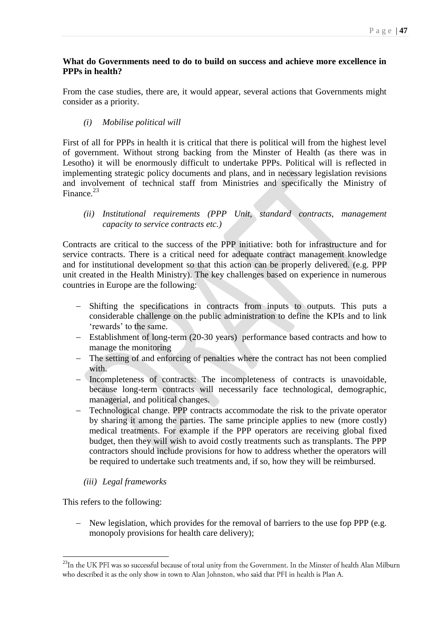## **What do Governments need to do to build on success and achieve more excellence in PPPs in health?**

From the case studies, there are, it would appear, several actions that Governments might consider as a priority.

*(i) Mobilise political will*

First of all for PPPs in health it is critical that there is political will from the highest level of government. Without strong backing from the Minster of Health (as there was in Lesotho) it will be enormously difficult to undertake PPPs. Political will is reflected in implementing strategic policy documents and plans, and in necessary legislation revisions and involvement of technical staff from Ministries and specifically the Ministry of Finance.<sup>23</sup>

## *(ii) Institutional requirements (PPP Unit, standard contracts, management capacity to service contracts etc.)*

Contracts are critical to the success of the PPP initiative: both for infrastructure and for service contracts. There is a critical need for adequate contract management knowledge and for institutional development so that this action can be properly delivered. (e.g. PPP unit created in the Health Ministry). The key challenges based on experience in numerous countries in Europe are the following:

- Shifting the specifications in contracts from inputs to outputs. This puts a considerable challenge on the public administration to define the KPIs and to link 'rewards' to the same.
- Establishment of long-term (20-30 years) performance based contracts and how to manage the monitoring
- The setting of and enforcing of penalties where the contract has not been complied with.
- Incompleteness of contracts: The incompleteness of contracts is unavoidable, because long-term contracts will necessarily face technological, demographic, managerial, and political changes.
- Technological change. PPP contracts accommodate the risk to the private operator by sharing it among the parties. The same principle applies to new (more costly) medical treatments. For example if the PPP operators are receiving global fixed budget, then they will wish to avoid costly treatments such as transplants. The PPP contractors should include provisions for how to address whether the operators will be required to undertake such treatments and, if so, how they will be reimbursed.
	- *(iii) Legal frameworks*

This refers to the following:

-

- New legislation, which provides for the removal of barriers to the use fop PPP (e.g. monopoly provisions for health care delivery);

<sup>&</sup>lt;sup>23</sup>In the UK PFI was so successful because of total unity from the Government. In the Minster of health Alan Milburn who described it as the only show in town to Alan Johnston, who said that PFI in health is Plan A.